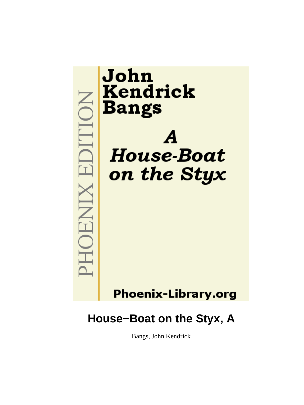

# **Phoenix-Library.org**

# **House−Boat on the Styx, A**

Bangs, John Kendrick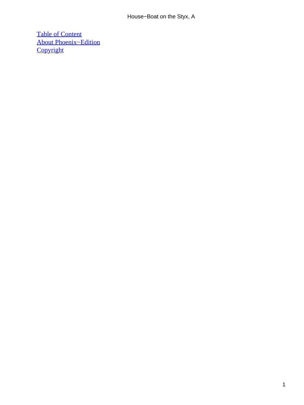[Table of Content](#page-72-0) [About Phoenix−Edition](#page-73-0) **[Copyright](#page-74-0)**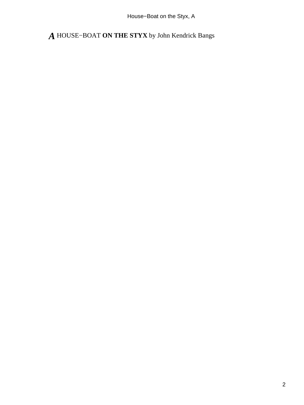House−Boat on the Styx, A

*A* HOUSE−BOAT **ON THE STYX** by John Kendrick Bangs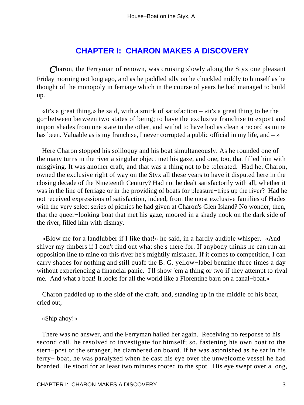## **[CHAPTER I: CHARON MAKES A DISCOVERY](#page-72-0)**

*C*haron, the Ferryman of renown, was cruising slowly along the Styx one pleasant Friday morning not long ago, and as he paddled idly on he chuckled mildly to himself as he thought of the monopoly in ferriage which in the course of years he had managed to build up.

 «It's a great thing,» he said, with a smirk of satisfaction – «it's a great thing to be the go−between between two states of being; to have the exclusive franchise to export and import shades from one state to the other, and withal to have had as clean a record as mine has been. Valuable as is my franchise, I never corrupted a public official in my life, and  $-\infty$ 

 Here Charon stopped his soliloquy and his boat simultaneously. As he rounded one of the many turns in the river a singular object met his gaze, and one, too, that filled him with misgiving. It was another craft, and that was a thing not to be tolerated. Had he, Charon, owned the exclusive right of way on the Styx all these years to have it disputed here in the closing decade of the Nineteenth Century? Had not he dealt satisfactorily with all, whether it was in the line of ferriage or in the providing of boats for pleasure−trips up the river? Had he not received expressions of satisfaction, indeed, from the most exclusive families of Hades with the very select series of picnics he had given at Charon's Glen Island? No wonder, then, that the queer−looking boat that met his gaze, moored in a shady nook on the dark side of the river, filled him with dismay.

 «Blow me for a landlubber if I like that!» he said, in a hardly audible whisper. «And shiver my timbers if I don't find out what she's there for. If anybody thinks he can run an opposition line to mine on this river he's mightily mistaken. If it comes to competition, I can carry shades for nothing and still quaff the B. G. yellow−label benzine three times a day without experiencing a financial panic. I'll show 'em a thing or two if they attempt to rival me. And what a boat! It looks for all the world like a Florentine barn on a canal−boat.»

 Charon paddled up to the side of the craft, and, standing up in the middle of his boat, cried out,

«Ship ahoy!»

 There was no answer, and the Ferryman hailed her again. Receiving no response to his second call, he resolved to investigate for himself; so, fastening his own boat to the stern−post of the stranger, he clambered on board. If he was astonished as he sat in his ferry− boat, he was paralyzed when he cast his eye over the unwelcome vessel he had boarded. He stood for at least two minutes rooted to the spot. His eye swept over a long,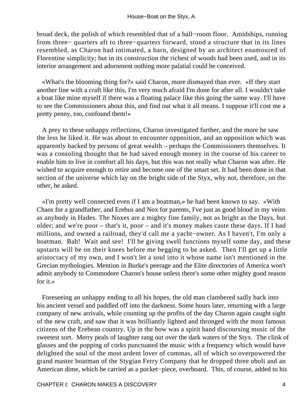broad deck, the polish of which resembled that of a ball−room floor. Amidships, running from three− quarters aft to three−quarters forward, stood a structure that in its lines resembled, as Charon had intimated, a barn, designed by an architect enamoured of Florentine simplicity; but in its construction the richest of woods had been used, and in its interior arrangement and adornment nothing more palatial could be conceived.

 «What's the blooming thing for?» said Charon, more dismayed than ever. «If they start another line with a craft like this, I'm very much afraid I'm done for after all. I wouldn't take a boat like mine myself if there was a floating palace like this going the same way. I'll have to see the Commissioners about this, and find out what it all means. I suppose it'll cost me a pretty penny, too, confound them!»

 A prey to these unhappy reflections, Charon investigated further, and the more he saw the less he liked it. He was about to encounter opposition, and an opposition which was apparently backed by persons of great wealth – perhaps the Commissioners themselves. It was a consoling thought that he had saved enough money in the course of his career to enable him to live in comfort all his days, but this was not really what Charon was after. He wished to acquire enough to retire and become one of the smart set. It had been done in that section of the universe which lay on the bright side of the Styx, why not, therefore, on the other, he asked.

 «I'm pretty well connected even if I am a boatman,» he had been known to say. «With Chaos for a grandfather, and Erebus and Nox for parents, I've just as good blood in my veins as anybody in Hades. The Noxes are a mighty fine family, not as bright as the Days, but older; and we're poor – that's it, poor – and it's money makes caste these days. If I had millions, and owned a railroad, they'd call me a yacht−owner. As I haven't, I'm only a boatman. Bah! Wait and see! I'll be giving swell functions myself some day, and these upstarts will be on their knees before me begging to be asked. Then I'll get up a little aristocracy of my own, and I won't let a soul into it whose name isn't mentioned in the Grecian mythologies. Mention in Burke's peerage and the Elite directories of America won't admit anybody to Commodore Charon's house unless there's some other mighty good reason for it.»

 Foreseeing an unhappy ending to all his hopes, the old man clambered sadly back into his ancient vessel and paddled off into the darkness. Some hours later, returning with a large company of new arrivals, while counting up the profits of the day Charon again caught sight of the new craft, and saw that it was brilliantly lighted and thronged with the most famous citizens of the Erebean country. Up in the bow was a spirit band discoursing music of the sweetest sort. Merry peals of laughter rang out over the dark waters of the Styx. The clink of glasses and the popping of corks punctuated the music with a frequency which would have delighted the soul of the most ardent lover of commas, all of which so overpowered the grand master boatman of the Stygian Ferry Company that he dropped three oboli and an American dime, which he carried as a pocket−piece, overboard. This, of course, added to his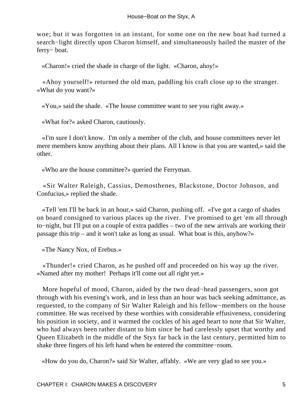woe; but it was forgotten in an instant, for some one on the new boat had turned a search−light directly upon Charon himself, and simultaneously hailed the master of the ferry− boat.

«Charon!» cried the shade in charge of the light. «Charon, ahoy!»

 «Ahoy yourself!» returned the old man, paddling his craft close up to the stranger. «What do you want?»

«You,» said the shade. «The house committee want to see you right away.»

«What for?» asked Charon, cautiously.

 «I'm sure I don't know. I'm only a member of the club, and house committees never let mere members know anything about their plans. All I know is that you are wanted,» said the other.

«Who are the house committee?» queried the Ferryman.

 «Sir Walter Raleigh, Cassius, Demosthenes, Blackstone, Doctor Johnson, and Confucius,» replied the shade.

 «Tell 'em I'll be back in an hour,» said Charon, pushing off. «I've got a cargo of shades on board consigned to various places up the river. I've promised to get 'em all through to−night, but I'll put on a couple of extra paddles – two of the new arrivals are working their passage this trip – and it won't take as long as usual. What boat is this, anyhow?»

«The Nancy Nox, of Erebus.»

 «Thunder!» cried Charon, as he pushed off and proceeded on his way up the river. «Named after my mother! Perhaps it'll come out all right yet.»

 More hopeful of mood, Charon, aided by the two dead−head passengers, soon got through with his evening's work, and in less than an hour was back seeking admittance, as requested, to the company of Sir Walter Raleigh and his fellow−members on the house committee. He was received by these worthies with considerable effusiveness, considering his position in society, and it warmed the cockles of his aged heart to note that Sir Walter, who had always been rather distant to him since he had carelessly upset that worthy and Queen Elizabeth in the middle of the Styx far back in the last century, permitted him to shake three fingers of his left hand when he entered the committee−room.

«How do you do, Charon?» said Sir Walter, affably. «We are very glad to see you.»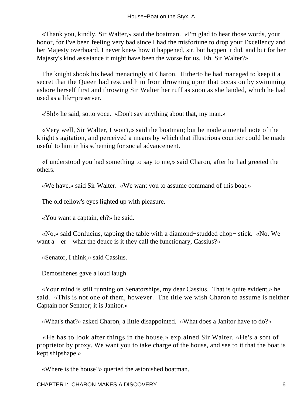«Thank you, kindly, Sir Walter,» said the boatman. «I'm glad to hear those words, your honor, for I've been feeling very bad since I had the misfortune to drop your Excellency and her Majesty overboard. I never knew how it happened, sir, but happen it did, and but for her Majesty's kind assistance it might have been the worse for us. Eh, Sir Walter?»

 The knight shook his head menacingly at Charon. Hitherto he had managed to keep it a secret that the Queen had rescued him from drowning upon that occasion by swimming ashore herself first and throwing Sir Walter her ruff as soon as she landed, which he had used as a life−preserver.

«'Sh!» he said, sotto voce. «Don't say anything about that, my man.»

 «Very well, Sir Walter, I won't,» said the boatman; but he made a mental note of the knight's agitation, and perceived a means by which that illustrious courtier could be made useful to him in his scheming for social advancement.

 «I understood you had something to say to me,» said Charon, after he had greeted the others.

«We have,» said Sir Walter. «We want you to assume command of this boat.»

The old fellow's eyes lighted up with pleasure.

«You want a captain, eh?» he said.

 «No,» said Confucius, tapping the table with a diamond−studded chop− stick. «No. We want  $a - er - what$  the deuce is it they call the functionary, Cassius?»

«Senator, I think,» said Cassius.

Demosthenes gave a loud laugh.

 «Your mind is still running on Senatorships, my dear Cassius. That is quite evident,» he said. «This is not one of them, however. The title we wish Charon to assume is neither Captain nor Senator; it is Janitor.»

«What's that?» asked Charon, a little disappointed. «What does a Janitor have to do?»

 «He has to look after things in the house,» explained Sir Walter. «He's a sort of proprietor by proxy. We want you to take charge of the house, and see to it that the boat is kept shipshape.»

«Where is the house?» queried the astonished boatman.

CHAPTER I: CHARON MAKES A DISCOVERY 6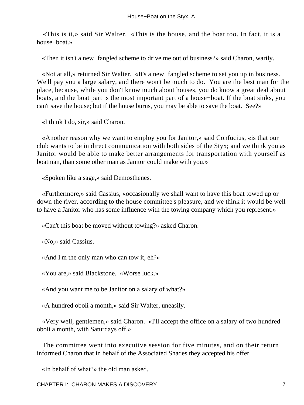«This is it,» said Sir Walter. «This is the house, and the boat too. In fact, it is a house−boat.»

«Then it isn't a new−fangled scheme to drive me out of business?» said Charon, warily.

 «Not at all,» returned Sir Walter. «It's a new−fangled scheme to set you up in business. We'll pay you a large salary, and there won't be much to do. You are the best man for the place, because, while you don't know much about houses, you do know a great deal about boats, and the boat part is the most important part of a house−boat. If the boat sinks, you can't save the house; but if the house burns, you may be able to save the boat. See?»

«I think I do, sir,» said Charon.

 «Another reason why we want to employ you for Janitor,» said Confucius, «is that our club wants to be in direct communication with both sides of the Styx; and we think you as Janitor would be able to make better arrangements for transportation with yourself as boatman, than some other man as Janitor could make with you.»

«Spoken like a sage,» said Demosthenes.

 «Furthermore,» said Cassius, «occasionally we shall want to have this boat towed up or down the river, according to the house committee's pleasure, and we think it would be well to have a Janitor who has some influence with the towing company which you represent.»

«Can't this boat be moved without towing?» asked Charon.

«No,» said Cassius.

«And I'm the only man who can tow it, eh?»

«You are,» said Blackstone. «Worse luck.»

«And you want me to be Janitor on a salary of what?»

«A hundred oboli a month,» said Sir Walter, uneasily.

 «Very well, gentlemen,» said Charon. «I'll accept the office on a salary of two hundred oboli a month, with Saturdays off.»

 The committee went into executive session for five minutes, and on their return informed Charon that in behalf of the Associated Shades they accepted his offer.

«In behalf of what?» the old man asked.

CHAPTER I: CHARON MAKES A DISCOVERY 7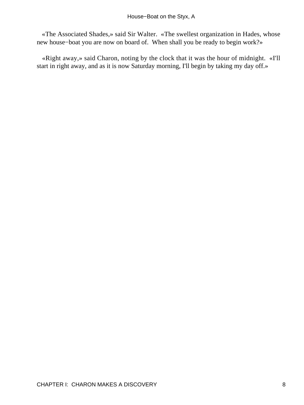«The Associated Shades,» said Sir Walter. «The swellest organization in Hades, whose new house−boat you are now on board of. When shall you be ready to begin work?»

 «Right away,» said Charon, noting by the clock that it was the hour of midnight. «I'll start in right away, and as it is now Saturday morning, I'll begin by taking my day off.»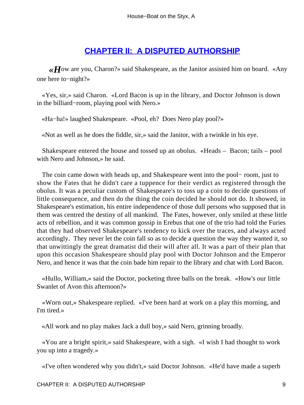#### **[CHAPTER II: A DISPUTED AUTHORSHIP](#page-72-0)**

*«H*ow are you, Charon?» said Shakespeare, as the Janitor assisted him on board. «Any one here to−night?»

 «Yes, sir,» said Charon. «Lord Bacon is up in the library, and Doctor Johnson is down in the billiard−room, playing pool with Nero.»

«Ha−ha!» laughed Shakespeare. «Pool, eh? Does Nero play pool?»

«Not as well as he does the fiddle, sir,» said the Janitor, with a twinkle in his eye.

 Shakespeare entered the house and tossed up an obolus. «Heads – Bacon; tails – pool with Nero and Johnson,» he said.

 The coin came down with heads up, and Shakespeare went into the pool− room, just to show the Fates that he didn't care a tuppence for their verdict as registered through the obolus. It was a peculiar custom of Shakespeare's to toss up a coin to decide questions of little consequence, and then do the thing the coin decided he should not do. It showed, in Shakespeare's estimation, his entire independence of those dull persons who supposed that in them was centred the destiny of all mankind. The Fates, however, only smiled at these little acts of rebellion, and it was common gossip in Erebus that one of the trio had told the Furies that they had observed Shakespeare's tendency to kick over the traces, and always acted accordingly. They never let the coin fall so as to decide a question the way they wanted it, so that unwittingly the great dramatist did their will after all. It was a part of their plan that upon this occasion Shakespeare should play pool with Doctor Johnson and the Emperor Nero, and hence it was that the coin bade him repair to the library and chat with Lord Bacon.

 «Hullo, William,» said the Doctor, pocketing three balls on the break. «How's our little Swanlet of Avon this afternoon?»

 «Worn out,» Shakespeare replied. «I've been hard at work on a play this morning, and I'm tired.»

«All work and no play makes Jack a dull boy,» said Nero, grinning broadly.

 «You are a bright spirit,» said Shakespeare, with a sigh. «I wish I had thought to work you up into a tragedy.»

«I've often wondered why you didn't,» said Doctor Johnson. «He'd have made a superb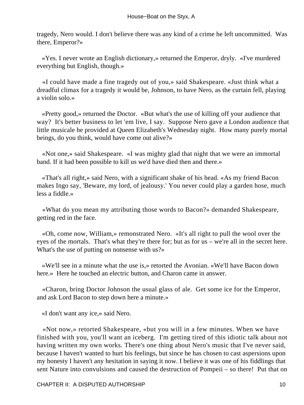tragedy, Nero would. I don't believe there was any kind of a crime he left uncommitted. Was there, Emperor?»

 «Yes. I never wrote an English dictionary,» returned the Emperor, dryly. «I've murdered everything but English, though.»

 «I could have made a fine tragedy out of you,» said Shakespeare. «Just think what a dreadful climax for a tragedy it would be, Johnson, to have Nero, as the curtain fell, playing a violin solo.»

 «Pretty good,» returned the Doctor. «But what's the use of killing off your audience that way? It's better business to let 'em live, I say. Suppose Nero gave a London audience that little musicale he provided at Queen Elizabeth's Wednesday night. How many purely mortal beings, do you think, would have come out alive?»

 «Not one,» said Shakespeare. «I was mighty glad that night that we were an immortal band. If it had been possible to kill us we'd have died then and there.»

 «That's all right,» said Nero, with a significant shake of his head. «As my friend Bacon makes Ingo say, 'Beware, my lord, of jealousy.' You never could play a garden hose, much less a fiddle.»

 «What do you mean my attributing those words to Bacon?» demanded Shakespeare, getting red in the face.

 «Oh, come now, William,» remonstrated Nero. «It's all right to pull the wool over the eyes of the mortals. That's what they're there for; but as for us – we're all in the secret here. What's the use of putting on nonsense with us?»

 «We'll see in a minute what the use is,» retorted the Avonian. «We'll have Bacon down here.» Here he touched an electric button, and Charon came in answer.

 «Charon, bring Doctor Johnson the usual glass of ale. Get some ice for the Emperor, and ask Lord Bacon to step down here a minute.»

«I don't want any ice,» said Nero.

 «Not now,» retorted Shakespeare, «but you will in a few minutes. When we have finished with you, you'll want an iceberg. I'm getting tired of this idiotic talk about not having written my own works. There's one thing about Nero's music that I've never said, because I haven't wanted to hurt his feelings, but since he has chosen to cast aspersions upon my honesty I haven't any hesitation in saying it now. I believe it was one of his fiddlings that sent Nature into convulsions and caused the destruction of Pompeii – so there! Put that on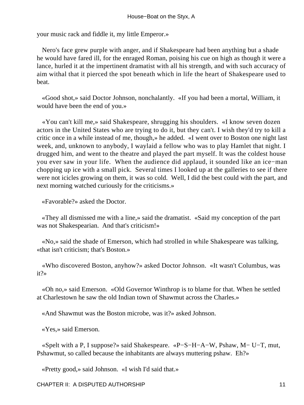your music rack and fiddle it, my little Emperor.»

 Nero's face grew purple with anger, and if Shakespeare had been anything but a shade he would have fared ill, for the enraged Roman, poising his cue on high as though it were a lance, hurled it at the impertinent dramatist with all his strength, and with such accuracy of aim withal that it pierced the spot beneath which in life the heart of Shakespeare used to beat.

 «Good shot,» said Doctor Johnson, nonchalantly. «If you had been a mortal, William, it would have been the end of you.»

 «You can't kill me,» said Shakespeare, shrugging his shoulders. «I know seven dozen actors in the United States who are trying to do it, but they can't. I wish they'd try to kill a critic once in a while instead of me, though,» he added. «I went over to Boston one night last week, and, unknown to anybody, I waylaid a fellow who was to play Hamlet that night. I drugged him, and went to the theatre and played the part myself. It was the coldest house you ever saw in your life. When the audience did applaud, it sounded like an ice−man chopping up ice with a small pick. Several times I looked up at the galleries to see if there were not icicles growing on them, it was so cold. Well, I did the best could with the part, and next morning watched curiously for the criticisms.»

«Favorable?» asked the Doctor.

 «They all dismissed me with a line,» said the dramatist. «Said my conception of the part was not Shakespearian. And that's criticism!»

 «No,» said the shade of Emerson, which had strolled in while Shakespeare was talking, «that isn't criticism; that's Boston.»

 «Who discovered Boston, anyhow?» asked Doctor Johnson. «It wasn't Columbus, was it?»

 «Oh no,» said Emerson. «Old Governor Winthrop is to blame for that. When he settled at Charlestown he saw the old Indian town of Shawmut across the Charles.»

«And Shawmut was the Boston microbe, was it?» asked Johnson.

«Yes,» said Emerson.

 «Spelt with a P, I suppose?» said Shakespeare. «P−S−H−A−W, Pshaw, M− U−T, mut, Pshawmut, so called because the inhabitants are always muttering pshaw. Eh?»

«Pretty good,» said Johnson. «I wish I'd said that.»

CHAPTER II: A DISPUTED AUTHORSHIP 11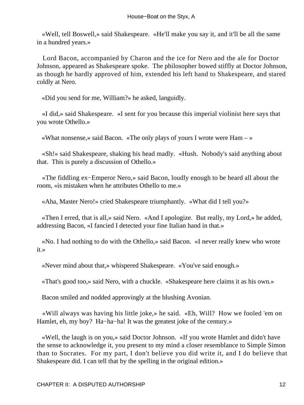«Well, tell Boswell,» said Shakespeare. «He'll make you say it, and it'll be all the same in a hundred years.»

 Lord Bacon, accompanied by Charon and the ice for Nero and the ale for Doctor Johnson, appeared as Shakespeare spoke. The philosopher bowed stiffly at Doctor Johnson, as though he hardly approved of him, extended his left hand to Shakespeare, and stared coldly at Nero.

«Did you send for me, William?» he asked, languidly.

 «I did,» said Shakespeare. «I sent for you because this imperial violinist here says that you wrote Othello.»

«What nonsense,» said Bacon. «The only plays of yours I wrote were  $Ham -$ »

 «Sh!» said Shakespeare, shaking his head madly. «Hush. Nobody's said anything about that. This is purely a discussion of Othello.»

 «The fiddling ex−Emperor Nero,» said Bacon, loudly enough to be heard all about the room, «is mistaken when he attributes Othello to me.»

«Aha, Master Nero!» cried Shakespeare triumphantly. «What did I tell you?»

 «Then I erred, that is all,» said Nero. «And I apologize. But really, my Lord,» he added, addressing Bacon, «I fancied I detected your fine Italian hand in that.»

 «No. I had nothing to do with the Othello,» said Bacon. «I never really knew who wrote it.»

«Never mind about that,» whispered Shakespeare. «You've said enough.»

«That's good too,» said Nero, with a chuckle. «Shakespeare here claims it as his own.»

Bacon smiled and nodded approvingly at the blushing Avonian.

 «Will always was having his little joke,» he said. «Eh, Will? How we fooled 'em on Hamlet, eh, my boy? Ha−ha−ha! It was the greatest joke of the century.»

 «Well, the laugh is on you,» said Doctor Johnson. «If you wrote Hamlet and didn't have the sense to acknowledge it, you present to my mind a closer resemblance to Simple Simon than to Socrates. For my part, I don't believe you did write it, and I do believe that Shakespeare did. I can tell that by the spelling in the original edition.»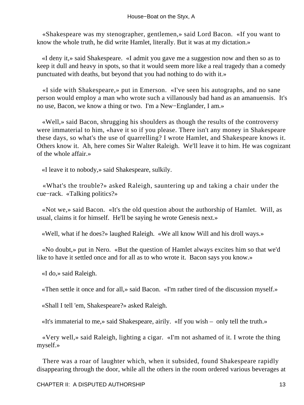«Shakespeare was my stenographer, gentlemen,» said Lord Bacon. «If you want to know the whole truth, he did write Hamlet, literally. But it was at my dictation.»

 «I deny it,» said Shakespeare. «I admit you gave me a suggestion now and then so as to keep it dull and heavy in spots, so that it would seem more like a real tragedy than a comedy punctuated with deaths, but beyond that you had nothing to do with it.»

 «I side with Shakespeare,» put in Emerson. «I've seen his autographs, and no sane person would employ a man who wrote such a villanously bad hand as an amanuensis. It's no use, Bacon, we know a thing or two. I'm a New−Englander, I am.»

 «Well,» said Bacon, shrugging his shoulders as though the results of the controversy were immaterial to him, «have it so if you please. There isn't any money in Shakespeare these days, so what's the use of quarrelling? I wrote Hamlet, and Shakespeare knows it. Others know it. Ah, here comes Sir Walter Raleigh. We'll leave it to him. He was cognizant of the whole affair.»

«I leave it to nobody,» said Shakespeare, sulkily.

 «What's the trouble?» asked Raleigh, sauntering up and taking a chair under the cue−rack. «Talking politics?»

 «Not we,» said Bacon. «It's the old question about the authorship of Hamlet. Will, as usual, claims it for himself. He'll be saying he wrote Genesis next.»

«Well, what if he does?» laughed Raleigh. «We all know Will and his droll ways.»

 «No doubt,» put in Nero. «But the question of Hamlet always excites him so that we'd like to have it settled once and for all as to who wrote it. Bacon says you know.»

«I do,» said Raleigh.

«Then settle it once and for all,» said Bacon. «I'm rather tired of the discussion myself.»

«Shall I tell 'em, Shakespeare?» asked Raleigh.

«It's immaterial to me,» said Shakespeare, airily. «If you wish – only tell the truth.»

 «Very well,» said Raleigh, lighting a cigar. «I'm not ashamed of it. I wrote the thing myself.»

 There was a roar of laughter which, when it subsided, found Shakespeare rapidly disappearing through the door, while all the others in the room ordered various beverages at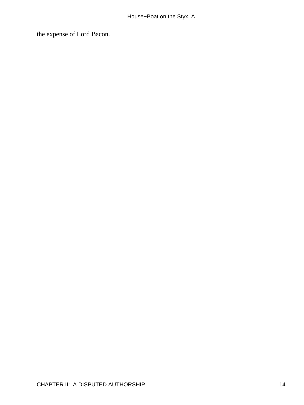the expense of Lord Bacon.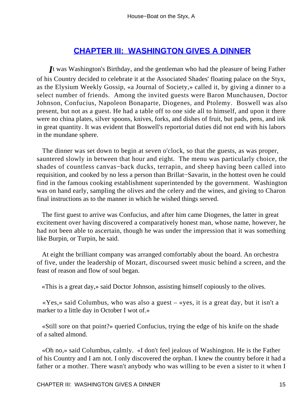#### **[CHAPTER III: WASHINGTON GIVES A DINNER](#page-72-0)**

*I*t was Washington's Birthday, and the gentleman who had the pleasure of being Father of his Country decided to celebrate it at the Associated Shades' floating palace on the Styx, as the Elysium Weekly Gossip, «a Journal of Society,» called it, by giving a dinner to a select number of friends. Among the invited guests were Baron Munchausen, Doctor Johnson, Confucius, Napoleon Bonaparte, Diogenes, and Ptolemy. Boswell was also present, but not as a guest. He had a table off to one side all to himself, and upon it there were no china plates, silver spoons, knives, forks, and dishes of fruit, but pads, pens, and ink in great quantity. It was evident that Boswell's reportorial duties did not end with his labors in the mundane sphere.

 The dinner was set down to begin at seven o'clock, so that the guests, as was proper, sauntered slowly in between that hour and eight. The menu was particularly choice, the shades of countless canvas−back ducks, terrapin, and sheep having been called into requisition, and cooked by no less a person than Brillat−Savarin, in the hottest oven he could find in the famous cooking establishment superintended by the government. Washington was on hand early, sampling the olives and the celery and the wines, and giving to Charon final instructions as to the manner in which he wished things served.

 The first guest to arrive was Confucius, and after him came Diogenes, the latter in great excitement over having discovered a comparatively honest man, whose name, however, he had not been able to ascertain, though he was under the impression that it was something like Burpin, or Turpin, he said.

 At eight the brilliant company was arranged comfortably about the board. An orchestra of five, under the leadership of Mozart, discoursed sweet music behind a screen, and the feast of reason and flow of soul began.

«This is a great day,» said Doctor Johnson, assisting himself copiously to the olives.

 «Yes,» said Columbus, who was also a guest – «yes, it is a great day, but it isn't a marker to a little day in October I wot of.»

 «Still sore on that point?» queried Confucius, trying the edge of his knife on the shade of a salted almond.

 «Oh no,» said Columbus, calmly. «I don't feel jealous of Washington. He is the Father of his Country and I am not. I only discovered the orphan. I knew the country before it had a father or a mother. There wasn't anybody who was willing to be even a sister to it when I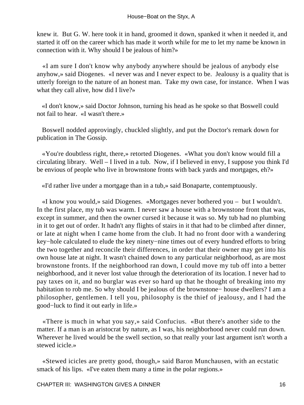knew it. But G. W. here took it in hand, groomed it down, spanked it when it needed it, and started it off on the career which has made it worth while for me to let my name be known in connection with it. Why should I be jealous of him?»

 «I am sure I don't know why anybody anywhere should be jealous of anybody else anyhow,» said Diogenes. «I never was and I never expect to be. Jealousy is a quality that is utterly foreign to the nature of an honest man. Take my own case, for instance. When I was what they call alive, how did I live?»

 «I don't know,» said Doctor Johnson, turning his head as he spoke so that Boswell could not fail to hear. «I wasn't there.»

 Boswell nodded approvingly, chuckled slightly, and put the Doctor's remark down for publication in The Gossip.

 «You're doubtless right, there,» retorted Diogenes. «What you don't know would fill a circulating library. Well – I lived in a tub. Now, if I believed in envy, I suppose you think I'd be envious of people who live in brownstone fronts with back yards and mortgages, eh?»

«I'd rather live under a mortgage than in a tub,» said Bonaparte, contemptuously.

 «I know you would,» said Diogenes. «Mortgages never bothered you – but I wouldn't. In the first place, my tub was warm. I never saw a house with a brownstone front that was, except in summer, and then the owner cursed it because it was so. My tub had no plumbing in it to get out of order. It hadn't any flights of stairs in it that had to be climbed after dinner, or late at night when I came home from the club. It had no front door with a wandering key−hole calculated to elude the key ninety−nine times out of every hundred efforts to bring the two together and reconcile their differences, in order that their owner may get into his own house late at night. It wasn't chained down to any particular neighborhood, as are most brownstone fronts. If the neighborhood ran down, I could move my tub off into a better neighborhood, and it never lost value through the deterioration of its location. I never had to pay taxes on it, and no burglar was ever so hard up that he thought of breaking into my habitation to rob me. So why should I be jealous of the brownstone− house dwellers? I am a philosopher, gentlemen. I tell you, philosophy is the thief of jealousy, and I had the good−luck to find it out early in life.»

 «There is much in what you say,» said Confucius. «But there's another side to the matter. If a man is an aristocrat by nature, as I was, his neighborhood never could run down. Wherever he lived would be the swell section, so that really your last argument isn't worth a stewed icicle.»

 «Stewed icicles are pretty good, though,» said Baron Munchausen, with an ecstatic smack of his lips. «I've eaten them many a time in the polar regions.»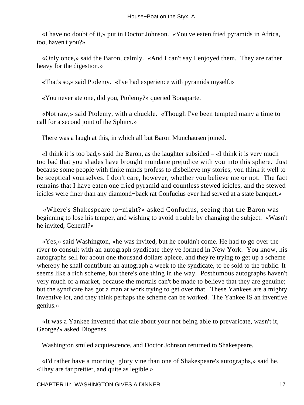«I have no doubt of it,» put in Doctor Johnson. «You've eaten fried pyramids in Africa, too, haven't you?»

 «Only once,» said the Baron, calmly. «And I can't say I enjoyed them. They are rather heavy for the digestion.»

«That's so,» said Ptolemy. «I've had experience with pyramids myself.»

«You never ate one, did you, Ptolemy?» queried Bonaparte.

 «Not raw,» said Ptolemy, with a chuckle. «Though I've been tempted many a time to call for a second joint of the Sphinx.»

There was a laugh at this, in which all but Baron Munchausen joined.

 «I think it is too bad,» said the Baron, as the laughter subsided – «I think it is very much too bad that you shades have brought mundane prejudice with you into this sphere. Just because some people with finite minds profess to disbelieve my stories, you think it well to be sceptical yourselves. I don't care, however, whether you believe me or not. The fact remains that I have eaten one fried pyramid and countless stewed icicles, and the stewed icicles were finer than any diamond−back rat Confucius ever had served at a state banquet.»

 «Where's Shakespeare to−night?» asked Confucius, seeing that the Baron was beginning to lose his temper, and wishing to avoid trouble by changing the subject. «Wasn't he invited, General?»

 «Yes,» said Washington, «he was invited, but he couldn't come. He had to go over the river to consult with an autograph syndicate they've formed in New York. You know, his autographs sell for about one thousand dollars apiece, and they're trying to get up a scheme whereby he shall contribute an autograph a week to the syndicate, to be sold to the public. It seems like a rich scheme, but there's one thing in the way. Posthumous autographs haven't very much of a market, because the mortals can't be made to believe that they are genuine; but the syndicate has got a man at work trying to get over that. These Yankees are a mighty inventive lot, and they think perhaps the scheme can be worked. The Yankee IS an inventive genius.»

 «It was a Yankee invented that tale about your not being able to prevaricate, wasn't it, George?» asked Diogenes.

Washington smiled acquiescence, and Doctor Johnson returned to Shakespeare.

 «I'd rather have a morning−glory vine than one of Shakespeare's autographs,» said he. «They are far prettier, and quite as legible.»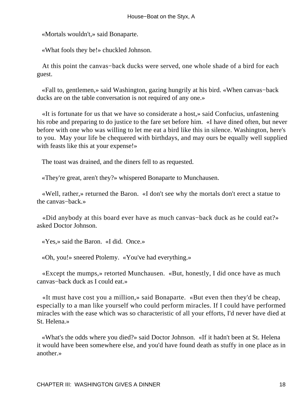«Mortals wouldn't,» said Bonaparte.

«What fools they be!» chuckled Johnson.

 At this point the canvas−back ducks were served, one whole shade of a bird for each guest.

 «Fall to, gentlemen,» said Washington, gazing hungrily at his bird. «When canvas−back ducks are on the table conversation is not required of any one.»

 «It is fortunate for us that we have so considerate a host,» said Confucius, unfastening his robe and preparing to do justice to the fare set before him. «I have dined often, but never before with one who was willing to let me eat a bird like this in silence. Washington, here's to you. May your life be chequered with birthdays, and may ours be equally well supplied with feasts like this at your expense!»

The toast was drained, and the diners fell to as requested.

«They're great, aren't they?» whispered Bonaparte to Munchausen.

 «Well, rather,» returned the Baron. «I don't see why the mortals don't erect a statue to the canvas−back.»

 «Did anybody at this board ever have as much canvas−back duck as he could eat?» asked Doctor Johnson.

«Yes,» said the Baron. «I did. Once.»

«Oh, you!» sneered Ptolemy. «You've had everything.»

 «Except the mumps,» retorted Munchausen. «But, honestly, I did once have as much canvas−back duck as I could eat.»

 «It must have cost you a million,» said Bonaparte. «But even then they'd be cheap, especially to a man like yourself who could perform miracles. If I could have performed miracles with the ease which was so characteristic of all your efforts, I'd never have died at St. Helena.»

 «What's the odds where you died?» said Doctor Johnson. «If it hadn't been at St. Helena it would have been somewhere else, and you'd have found death as stuffy in one place as in another.»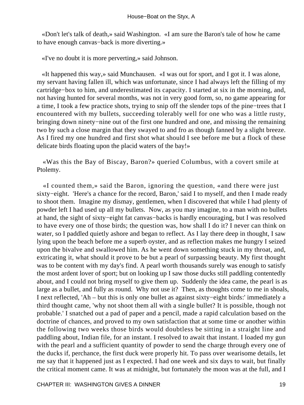«Don't let's talk of death,» said Washington. «I am sure the Baron's tale of how he came to have enough canvas−back is more diverting.»

«I've no doubt it is more perverting,» said Johnson.

 «It happened this way,» said Munchausen. «I was out for sport, and I got it. I was alone, my servant having fallen ill, which was unfortunate, since I had always left the filling of my cartridge−box to him, and underestimated its capacity. I started at six in the morning, and, not having hunted for several months, was not in very good form, so, no game appearing for a time, I took a few practice shots, trying to snip off the slender tops of the pine−trees that I encountered with my bullets, succeeding tolerably well for one who was a little rusty, bringing down ninety−nine out of the first one hundred and one, and missing the remaining two by such a close margin that they swayed to and fro as though fanned by a slight breeze. As I fired my one hundred and first shot what should I see before me but a flock of these delicate birds floating upon the placid waters of the bay!»

 «Was this the Bay of Biscay, Baron?» queried Columbus, with a covert smile at Ptolemy.

 «I counted them,» said the Baron, ignoring the question, «and there were just sixty−eight. 'Here's a chance for the record, Baron,' said I to myself, and then I made ready to shoot them. Imagine my dismay, gentlemen, when I discovered that while I had plenty of powder left I had used up all my bullets. Now, as you may imagine, to a man with no bullets at hand, the sight of sixty−eight fat canvas−backs is hardly encouraging, but I was resolved to have every one of those birds; the question was, how shall I do it? I never can think on water, so I paddled quietly ashore and began to reflect. As I lay there deep in thought, I saw lying upon the beach before me a superb oyster, and as reflection makes me hungry I seized upon the bivalve and swallowed him. As he went down something stuck in my throat, and, extricating it, what should it prove to be but a pearl of surpassing beauty. My first thought was to be content with my day's find. A pearl worth thousands surely was enough to satisfy the most ardent lover of sport; but on looking up I saw those ducks still paddling contentedly about, and I could not bring myself to give them up. Suddenly the idea came, the pearl is as large as a bullet, and fully as round. Why not use it? Then, as thoughts come to me in shoals, I next reflected, 'Ah – but this is only one bullet as against sixty−eight birds:' immediately a third thought came, 'why not shoot them all with a single bullet? It is possible, though not probable.' I snatched out a pad of paper and a pencil, made a rapid calculation based on the doctrine of chances, and proved to my own satisfaction that at some time or another within the following two weeks those birds would doubtless be sitting in a straight line and paddling about, Indian file, for an instant. I resolved to await that instant. I loaded my gun with the pearl and a sufficient quantity of powder to send the charge through every one of the ducks if, perchance, the first duck were properly hit. To pass over wearisome details, let me say that it happened just as I expected. I had one week and six days to wait, but finally the critical moment came. It was at midnight, but fortunately the moon was at the full, and I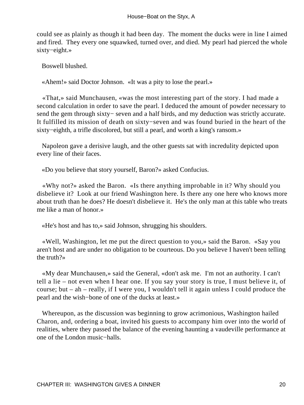could see as plainly as though it had been day. The moment the ducks were in line I aimed and fired. They every one squawked, turned over, and died. My pearl had pierced the whole sixty−eight.»

Boswell blushed.

«Ahem!» said Doctor Johnson. «It was a pity to lose the pearl.»

 «That,» said Munchausen, «was the most interesting part of the story. I had made a second calculation in order to save the pearl. I deduced the amount of powder necessary to send the gem through sixty– seven and a half birds, and my deduction was strictly accurate. It fulfilled its mission of death on sixty−seven and was found buried in the heart of the sixty−eighth, a trifle discolored, but still a pearl, and worth a king's ransom.»

 Napoleon gave a derisive laugh, and the other guests sat with incredulity depicted upon every line of their faces.

«Do you believe that story yourself, Baron?» asked Confucius.

 «Why not?» asked the Baron. «Is there anything improbable in it? Why should you disbelieve it? Look at our friend Washington here. Is there any one here who knows more about truth than he does? He doesn't disbelieve it. He's the only man at this table who treats me like a man of honor.

«He's host and has to,» said Johnson, shrugging his shoulders.

 «Well, Washington, let me put the direct question to you,» said the Baron. «Say you aren't host and are under no obligation to be courteous. Do you believe I haven't been telling the truth?»

 «My dear Munchausen,» said the General, «don't ask me. I'm not an authority. I can't tell a lie – not even when I hear one. If you say your story is true, I must believe it, of course; but – ah – really, if I were you, I wouldn't tell it again unless I could produce the pearl and the wish−bone of one of the ducks at least.»

 Whereupon, as the discussion was beginning to grow acrimonious, Washington hailed Charon, and, ordering a boat, invited his guests to accompany him over into the world of realities, where they passed the balance of the evening haunting a vaudeville performance at one of the London music−halls.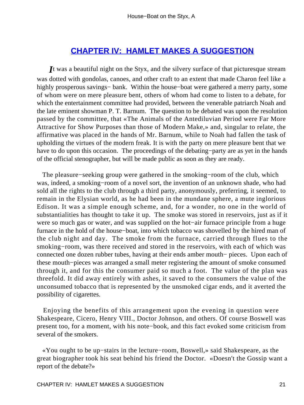#### **[CHAPTER IV: HAMLET MAKES A SUGGESTION](#page-72-0)**

*I*t was a beautiful night on the Styx, and the silvery surface of that picturesque stream was dotted with gondolas, canoes, and other craft to an extent that made Charon feel like a highly prosperous savings− bank. Within the house−boat were gathered a merry party, some of whom were on mere pleasure bent, others of whom had come to listen to a debate, for which the entertainment committee had provided, between the venerable patriarch Noah and the late eminent showman P. T. Barnum. The question to be debated was upon the resolution passed by the committee, that «The Animals of the Antediluvian Period were Far More Attractive for Show Purposes than those of Modern Make,» and, singular to relate, the affirmative was placed in the hands of Mr. Barnum, while to Noah had fallen the task of upholding the virtues of the modern freak. It is with the party on mere pleasure bent that we have to do upon this occasion. The proceedings of the debating−party are as yet in the hands of the official stenographer, but will be made public as soon as they are ready.

 The pleasure−seeking group were gathered in the smoking−room of the club, which was, indeed, a smoking−room of a novel sort, the invention of an unknown shade, who had sold all the rights to the club through a third party, anonymously, preferring, it seemed, to remain in the Elysian world, as he had been in the mundane sphere, a mute inglorious Edison. It was a simple enough scheme, and, for a wonder, no one in the world of substantialities has thought to take it up. The smoke was stored in reservoirs, just as if it were so much gas or water, and was supplied on the hot−air furnace principle from a huge furnace in the hold of the house−boat, into which tobacco was shovelled by the hired man of the club night and day. The smoke from the furnace, carried through flues to the smoking−room, was there received and stored in the reservoirs, with each of which was connected one dozen rubber tubes, having at their ends amber mouth− pieces. Upon each of these mouth−pieces was arranged a small meter registering the amount of smoke consumed through it, and for this the consumer paid so much a foot. The value of the plan was threefold. It did away entirely with ashes, it saved to the consumers the value of the unconsumed tobacco that is represented by the unsmoked cigar ends, and it averted the possibility of cigarettes.

 Enjoying the benefits of this arrangement upon the evening in question were Shakespeare, Cicero, Henry VIII., Doctor Johnson, and others. Of course Boswell was present too, for a moment, with his note−book, and this fact evoked some criticism from several of the smokers.

 «You ought to be up−stairs in the lecture−room, Boswell,» said Shakespeare, as the great biographer took his seat behind his friend the Doctor. «Doesn't the Gossip want a report of the debate?»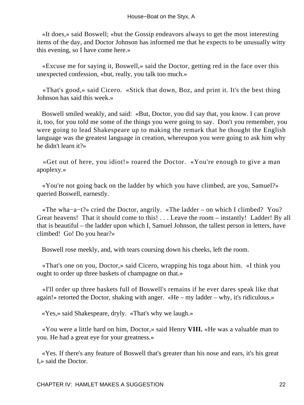«It does,» said Boswell; «but the Gossip endeavors always to get the most interesting items of the day, and Doctor Johnson has informed me that he expects to be unusually witty this evening, so I have come here.»

 «Excuse me for saying it, Boswell,» said the Doctor, getting red in the face over this unexpected confession, «but, really, you talk too much.»

 «That's good,» said Cicero. «Stick that down, Boz, and print it. It's the best thing Johnson has said this week.»

 Boswell smiled weakly, and said: «But, Doctor, you did say that, you know. I can prove it, too, for you told me some of the things you were going to say. Don't you remember, you were going to lead Shakespeare up to making the remark that he thought the English language was the greatest language in creation, whereupon you were going to ask him why he didn't learn it?»

 «Get out of here, you idiot!» roared the Doctor. «You're enough to give a man apoplexy.»

 «You're not going back on the ladder by which you have climbed, are you, Samuel?» queried Boswell, earnestly.

 «The wha−a−t?» cried the Doctor, angrily. «The ladder – on which I climbed? You? Great heavens! That it should come to this! . . . Leave the room – instantly! Ladder! By all that is beautiful – the ladder upon which I, Samuel Johnson, the tallest person in letters, have climbed! Go! Do you hear?»

Boswell rose meekly, and, with tears coursing down his cheeks, left the room.

 «That's one on you, Doctor,» said Cicero, wrapping his toga about him. «I think you ought to order up three baskets of champagne on that.»

 «I'll order up three baskets full of Boswell's remains if he ever dares speak like that again!» retorted the Doctor, shaking with anger. «He – my ladder – why, it's ridiculous.»

«Yes,» said Shakespeare, dryly. «That's why we laugh.»

 «You were a little hard on him, Doctor,» said Henry **VIII.** «He was a valuable man to you. He had a great eye for your greatness.»

 «Yes. If there's any feature of Boswell that's greater than his nose and ears, it's his great I,» said the Doctor.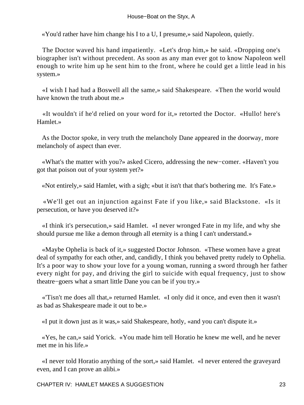«You'd rather have him change his I to a U, I presume,» said Napoleon, quietly.

 The Doctor waved his hand impatiently. «Let's drop him,» he said. «Dropping one's biographer isn't without precedent. As soon as any man ever got to know Napoleon well enough to write him up he sent him to the front, where he could get a little lead in his system.»

 «I wish I had had a Boswell all the same,» said Shakespeare. «Then the world would have known the truth about me.»

 «It wouldn't if he'd relied on your word for it,» retorted the Doctor. «Hullo! here's Hamlet.»

 As the Doctor spoke, in very truth the melancholy Dane appeared in the doorway, more melancholy of aspect than ever.

 «What's the matter with you?» asked Cicero, addressing the new−comer. «Haven't you got that poison out of your system yet?»

«Not entirely,» said Hamlet, with a sigh; «but it isn't that that's bothering me. It's Fate.»

 «We'll get out an injunction against Fate if you like,» said Blackstone. «Is it persecution, or have you deserved it?»

 «I think it's persecution,» said Hamlet. «I never wronged Fate in my life, and why she should pursue me like a demon through all eternity is a thing I can't understand.»

 «Maybe Ophelia is back of it,» suggested Doctor Johnson. «These women have a great deal of sympathy for each other, and, candidly, I think you behaved pretty rudely to Ophelia. It's a poor way to show your love for a young woman, running a sword through her father every night for pay, and driving the girl to suicide with equal frequency, just to show theatre−goers what a smart little Dane you can be if you try.»

 «'Tisn't me does all that,» returned Hamlet. «I only did it once, and even then it wasn't as bad as Shakespeare made it out to be.»

«I put it down just as it was,» said Shakespeare, hotly, «and you can't dispute it.»

 «Yes, he can,» said Yorick. «You made him tell Horatio he knew me well, and he never met me in his life.»

 «I never told Horatio anything of the sort,» said Hamlet. «I never entered the graveyard even, and I can prove an alibi.»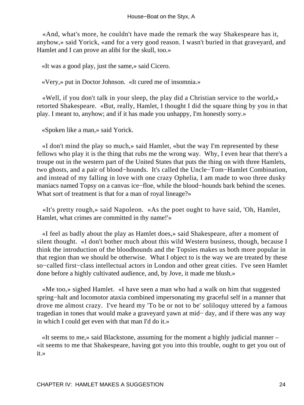«And, what's more, he couldn't have made the remark the way Shakespeare has it, anyhow,» said Yorick, «and for a very good reason. I wasn't buried in that graveyard, and Hamlet and I can prove an alibi for the skull, too.»

«It was a good play, just the same,» said Cicero.

«Very,» put in Doctor Johnson. «It cured me of insomnia.»

 «Well, if you don't talk in your sleep, the play did a Christian service to the world,» retorted Shakespeare. «But, really, Hamlet, I thought I did the square thing by you in that play. I meant to, anyhow; and if it has made you unhappy, I'm honestly sorry.»

«Spoken like a man,» said Yorick.

 «I don't mind the play so much,» said Hamlet, «but the way I'm represented by these fellows who play it is the thing that rubs me the wrong way. Why, I even hear that there's a troupe out in the western part of the United States that puts the thing on with three Hamlets, two ghosts, and a pair of blood−hounds. It's called the Uncle−Tom−Hamlet Combination, and instead of my falling in love with one crazy Ophelia, I am made to woo three dusky maniacs named Topsy on a canvas ice−floe, while the blood−hounds bark behind the scenes. What sort of treatment is that for a man of royal lineage?»

 «It's pretty rough,» said Napoleon. «As the poet ought to have said, 'Oh, Hamlet, Hamlet, what crimes are committed in thy name!'»

 «I feel as badly about the play as Hamlet does,» said Shakespeare, after a moment of silent thought. «I don't bother much about this wild Western business, though, because I think the introduction of the bloodhounds and the Topsies makes us both more popular in that region than we should be otherwise. What I object to is the way we are treated by these so−called first−class intellectual actors in London and other great cities. I've seen Hamlet done before a highly cultivated audience, and, by Jove, it made me blush.»

 «Me too,» sighed Hamlet. «I have seen a man who had a walk on him that suggested spring−halt and locomotor ataxia combined impersonating my graceful self in a manner that drove me almost crazy. I've heard my 'To be or not to be' soliloquy uttered by a famous tragedian in tones that would make a graveyard yawn at mid− day, and if there was any way in which I could get even with that man I'd do it.»

 «It seems to me,» said Blackstone, assuming for the moment a highly judicial manner – «it seems to me that Shakespeare, having got you into this trouble, ought to get you out of it.»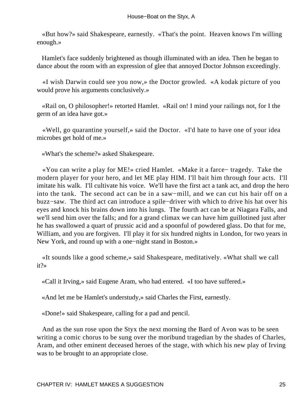«But how?» said Shakespeare, earnestly. «That's the point. Heaven knows I'm willing enough.»

 Hamlet's face suddenly brightened as though illuminated with an idea. Then he began to dance about the room with an expression of glee that annoyed Doctor Johnson exceedingly.

 «I wish Darwin could see you now,» the Doctor growled. «A kodak picture of you would prove his arguments conclusively.»

 «Rail on, O philosopher!» retorted Hamlet. «Rail on! I mind your railings not, for I the germ of an idea have got.»

 «Well, go quarantine yourself,» said the Doctor. «I'd hate to have one of your idea microbes get hold of me.»

«What's the scheme?» asked Shakespeare.

 «You can write a play for ME!» cried Hamlet. «Make it a farce− tragedy. Take the modern player for your hero, and let ME play HIM. I'll bait him through four acts. I'll imitate his walk. I'll cultivate his voice. We'll have the first act a tank act, and drop the hero into the tank. The second act can be in a saw−mill, and we can cut his hair off on a buzz−saw. The third act can introduce a spile−driver with which to drive his hat over his eyes and knock his brains down into his lungs. The fourth act can be at Niagara Falls, and we'll send him over the falls; and for a grand climax we can have him guillotined just after he has swallowed a quart of prussic acid and a spoonful of powdered glass. Do that for me, William, and you are forgiven. I'll play it for six hundred nights in London, for two years in New York, and round up with a one−night stand in Boston.»

 «It sounds like a good scheme,» said Shakespeare, meditatively. «What shall we call it?»

«Call it Irving,» said Eugene Aram, who had entered. «I too have suffered.»

«And let me be Hamlet's understudy,» said Charles the First, earnestly.

«Done!» said Shakespeare, calling for a pad and pencil.

 And as the sun rose upon the Styx the next morning the Bard of Avon was to be seen writing a comic chorus to be sung over the moribund tragedian by the shades of Charles, Aram, and other eminent deceased heroes of the stage, with which his new play of Irving was to be brought to an appropriate close.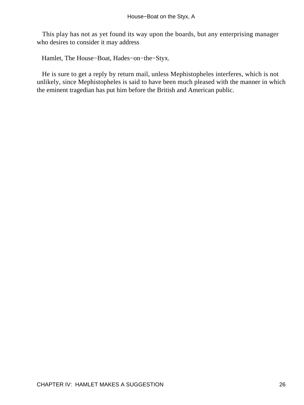This play has not as yet found its way upon the boards, but any enterprising manager who desires to consider it may address

Hamlet, The House−Boat, Hades−on−the−Styx.

 He is sure to get a reply by return mail, unless Mephistopheles interferes, which is not unlikely, since Mephistopheles is said to have been much pleased with the manner in which the eminent tragedian has put him before the British and American public.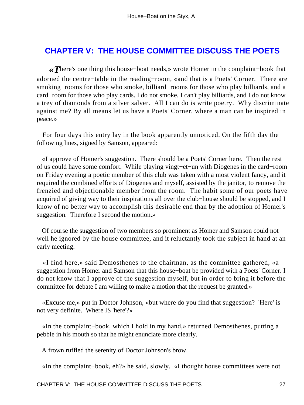#### **[CHAPTER V: THE HOUSE COMMITTEE DISCUSS THE POETS](#page-72-0)**

*«T*here's one thing this house−boat needs,» wrote Homer in the complaint−book that adorned the centre−table in the reading−room, «and that is a Poets' Corner. There are smoking−rooms for those who smoke, billiard−rooms for those who play billiards, and a card−room for those who play cards. I do not smoke, I can't play billiards, and I do not know a trey of diamonds from a silver salver. All I can do is write poetry. Why discriminate against me? By all means let us have a Poets' Corner, where a man can be inspired in peace.»

 For four days this entry lay in the book apparently unnoticed. On the fifth day the following lines, signed by Samson, appeared:

 «I approve of Homer's suggestion. There should be a Poets' Corner here. Then the rest of us could have some comfort. While playing vingt−et−un with Diogenes in the card−room on Friday evening a poetic member of this club was taken with a most violent fancy, and it required the combined efforts of Diogenes and myself, assisted by the janitor, to remove the frenzied and objectionable member from the room. The habit some of our poets have acquired of giving way to their inspirations all over the club−house should be stopped, and I know of no better way to accomplish this desirable end than by the adoption of Homer's suggestion. Therefore I second the motion.»

 Of course the suggestion of two members so prominent as Homer and Samson could not well he ignored by the house committee, and it reluctantly took the subject in hand at an early meeting.

 «I find here,» said Demosthenes to the chairman, as the committee gathered, «a suggestion from Homer and Samson that this house−boat be provided with a Poets' Corner. I do not know that I approve of the suggestion myself, but in order to bring it before the committee for debate I am willing to make a motion that the request be granted.»

 «Excuse me,» put in Doctor Johnson, «but where do you find that suggestion? 'Here' is not very definite. Where IS 'here'?»

 «In the complaint−book, which I hold in my hand,» returned Demosthenes, putting a pebble in his mouth so that he might enunciate more clearly.

A frown ruffled the serenity of Doctor Johnson's brow.

«In the complaint−book, eh?» he said, slowly. «I thought house committees were not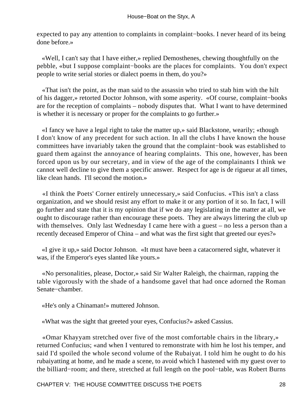expected to pay any attention to complaints in complaint–books. I never heard of its being done before.»

 «Well, I can't say that I have either,» replied Demosthenes, chewing thoughtfully on the pebble, «but I suppose complaint−books are the places for complaints. You don't expect people to write serial stories or dialect poems in them, do you?»

 «That isn't the point, as the man said to the assassin who tried to stab him with the hilt of his dagger,» retorted Doctor Johnson, with some asperity. «Of course, complaint−books are for the reception of complaints – nobody disputes that. What I want to have determined is whether it is necessary or proper for the complaints to go further.»

 «I fancy we have a legal right to take the matter up,» said Blackstone, wearily; «though I don't know of any precedent for such action. In all the clubs I have known the house committees have invariably taken the ground that the complaint−book was established to guard them against the annoyance of hearing complaints. This one, however, has been forced upon us by our secretary, and in view of the age of the complainants I think we cannot well decline to give them a specific answer. Respect for age is de rigueur at all times, like clean hands. I'll second the motion.»

 «I think the Poets' Corner entirely unnecessary,» said Confucius. «This isn't a class organization, and we should resist any effort to make it or any portion of it so. In fact, I will go further and state that it is my opinion that if we do any legislating in the matter at all, we ought to discourage rather than encourage these poets. They are always littering the club up with themselves. Only last Wednesday I came here with a guest – no less a person than a recently deceased Emperor of China – and what was the first sight that greeted our eyes?»

 «I give it up,» said Doctor Johnson. «It must have been a catacornered sight, whatever it was, if the Emperor's eyes slanted like yours.»

 «No personalities, please, Doctor,» said Sir Walter Raleigh, the chairman, rapping the table vigorously with the shade of a handsome gavel that had once adorned the Roman Senate−chamber.

«He's only a Chinaman!» muttered Johnson.

«What was the sight that greeted your eyes, Confucius?» asked Cassius.

 «Omar Khayyam stretched over five of the most comfortable chairs in the library,» returned Confucius; «and when I ventured to remonstrate with him he lost his temper, and said I'd spoiled the whole second volume of the Rubaiyat. I told him he ought to do his rubaiyatting at home, and he made a scene, to avoid which I hastened with my guest over to the billiard−room; and there, stretched at full length on the pool−table, was Robert Burns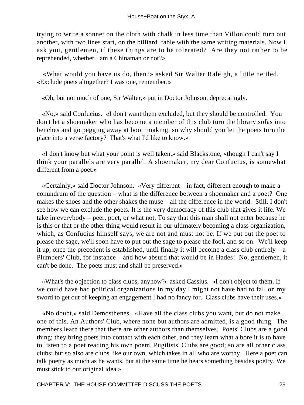trying to write a sonnet on the cloth with chalk in less time than Villon could turn out another, with two lines start, on the billiard−table with the same writing materials. Now I ask you, gentlemen, if these things are to be tolerated? Are they not rather to be reprehended, whether I am a Chinaman or not?»

 «What would you have us do, then?» asked Sir Walter Raleigh, a little nettled. «Exclude poets altogether? I was one, remember.»

«Oh, but not much of one, Sir Walter,» put in Doctor Johnson, deprecatingly.

 «No,» said Confucius. «I don't want them excluded, but they should be controlled. You don't let a shoemaker who has become a member of this club turn the library sofas into benches and go pegging away at boot−making, so why should you let the poets turn the place into a verse factory? That's what I'd like to know.»

 «I don't know but what your point is well taken,» said Blackstone, «though I can't say I think your parallels are very parallel. A shoemaker, my dear Confucius, is somewhat different from a poet.»

 «Certainly,» said Doctor Johnson. «Very different – in fact, different enough to make a conundrum of the question – what is the difference between a shoemaker and a poet? One makes the shoes and the other shakes the muse – all the difference in the world. Still, I don't see how we can exclude the poets. It is the very democracy of this club that gives it life. We take in everybody – peer, poet, or what not. To say that this man shall not enter because he is this or that or the other thing would result in our ultimately becoming a class organization, which, as Confucius himself says, we are not and must not be. If we put out the poet to please the sage, we'll soon have to put out the sage to please the fool, and so on. We'll keep it up, once the precedent is established, until finally it will become a class club entirely – a Plumbers' Club, for instance – and how absurd that would be in Hades! No, gentlemen, it can't be done. The poets must and shall be preserved.»

 «What's the objection to class clubs, anyhow?» asked Cassius. «I don't object to them. If we could have had political organizations in my day I might not have had to fall on my sword to get out of keeping an engagement I had no fancy for. Class clubs have their uses.»

 «No doubt,» said Demosthenes. «Have all the class clubs you want, but do not make one of this. An Authors' Club, where none but authors are admitted, is a good thing. The members learn there that there are other authors than themselves. Poets' Clubs are a good thing; they bring poets into contact with each other, and they learn what a bore it is to have to listen to a poet reading his own poem. Pugilists' Clubs are good; so are all other class clubs; but so also are clubs like our own, which takes in all who are worthy. Here a poet can talk poetry as much as he wants, but at the same time he hears something besides poetry. We must stick to our original idea.»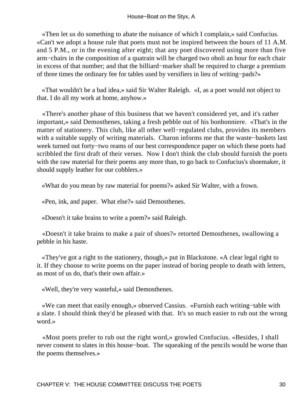«Then let us do something to abate the nuisance of which I complain,» said Confucius. «Can't we adopt a house rule that poets must not be inspired between the hours of 11 A.M. and 5 P.M., or in the evening after eight; that any poet discovered using more than five arm−chairs in the composition of a quatrain will be charged two oboli an hour for each chair in excess of that number; and that the billiard−marker shall be required to charge a premium of three times the ordinary fee for tables used by versifiers in lieu of writing−pads?»

 «That wouldn't be a bad idea,» said Sir Walter Raleigh. «I, as a poet would not object to that. I do all my work at home, anyhow.»

 «There's another phase of this business that we haven't considered yet, and it's rather important,» said Demosthenes, taking a fresh pebble out of his bonbonniere. «That's in the matter of stationery. This club, like all other well−regulated clubs, provides its members with a suitable supply of writing materials. Charon informs me that the waste−baskets last week turned out forty−two reams of our best correspondence paper on which these poets had scribbled the first draft of their verses. Now I don't think the club should furnish the poets with the raw material for their poems any more than, to go back to Confucius's shoemaker, it should supply leather for our cobblers.»

«What do you mean by raw material for poems?» asked Sir Walter, with a frown.

«Pen, ink, and paper. What else?» said Demosthenes.

«Doesn't it take brains to write a poem?» said Raleigh.

 «Doesn't it take brains to make a pair of shoes?» retorted Demosthenes, swallowing a pebble in his haste.

 «They've got a right to the stationery, though,» put in Blackstone. «A clear legal right to it. If they choose to write poems on the paper instead of boring people to death with letters, as most of us do, that's their own affair.»

«Well, they're very wasteful,» said Demosthenes.

 «We can meet that easily enough,» observed Cassius. «Furnish each writing−table with a slate. I should think they'd be pleased with that. It's so much easier to rub out the wrong word.»

 «Most poets prefer to rub out the right word,» growled Confucius. «Besides, I shall never consent to slates in this house–boat. The squeaking of the pencils would be worse than the poems themselves.»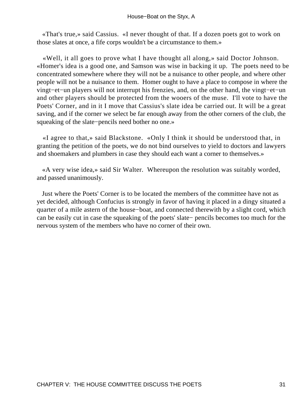«That's true,» said Cassius. «I never thought of that. If a dozen poets got to work on those slates at once, a fife corps wouldn't be a circumstance to them.»

 «Well, it all goes to prove what I have thought all along,» said Doctor Johnson. «Homer's idea is a good one, and Samson was wise in backing it up. The poets need to be concentrated somewhere where they will not be a nuisance to other people, and where other people will not be a nuisance to them. Homer ought to have a place to compose in where the vingt−et−un players will not interrupt his frenzies, and, on the other hand, the vingt−et−un and other players should be protected from the wooers of the muse. I'll vote to have the Poets' Corner, and in it I move that Cassius's slate idea be carried out. It will be a great saving, and if the corner we select be far enough away from the other corners of the club, the squeaking of the slate−pencils need bother no one.»

 «I agree to that,» said Blackstone. «Only I think it should be understood that, in granting the petition of the poets, we do not bind ourselves to yield to doctors and lawyers and shoemakers and plumbers in case they should each want a corner to themselves.»

 «A very wise idea,» said Sir Walter. Whereupon the resolution was suitably worded, and passed unanimously.

 Just where the Poets' Corner is to be located the members of the committee have not as yet decided, although Confucius is strongly in favor of having it placed in a dingy situated a quarter of a mile astern of the house−boat, and connected therewith by a slight cord, which can be easily cut in case the squeaking of the poets' slate− pencils becomes too much for the nervous system of the members who have no corner of their own.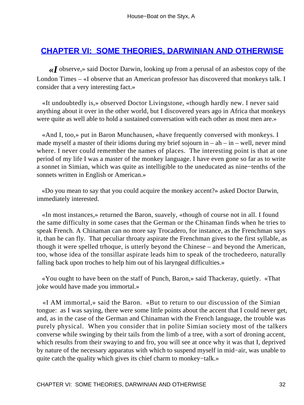## **[CHAPTER VI: SOME THEORIES, DARWINIAN AND OTHERWISE](#page-72-0)**

*«I* observe,» said Doctor Darwin, looking up from a perusal of an asbestos copy of the London Times – «I observe that an American professor has discovered that monkeys talk. I consider that a very interesting fact.»

 «It undoubtedly is,» observed Doctor Livingstone, «though hardly new. I never said anything about it over in the other world, but I discovered years ago in Africa that monkeys were quite as well able to hold a sustained conversation with each other as most men are.»

 «And I, too,» put in Baron Munchausen, «have frequently conversed with monkeys. I made myself a master of their idioms during my brief sojourn in  $-$  ah  $-$  in  $-$  well, never mind where. I never could remember the names of places. The interesting point is that at one period of my life I was a master of the monkey language. I have even gone so far as to write a sonnet in Simian, which was quite as intelligible to the uneducated as nine−tenths of the sonnets written in English or American.»

 «Do you mean to say that you could acquire the monkey accent?» asked Doctor Darwin, immediately interested.

 «In most instances,» returned the Baron, suavely, «though of course not in all. I found the same difficulty in some cases that the German or the Chinaman finds when he tries to speak French. A Chinaman can no more say Trocadero, for instance, as the Frenchman says it, than he can fly. That peculiar throaty aspirate the Frenchman gives to the first syllable, as though it were spelled trhoque, is utterly beyond the Chinese – and beyond the American, too, whose idea of the tonsillar aspirate leads him to speak of the trochedeero, naturally falling back upon troches to help him out of his laryngeal difficulties.»

 «You ought to have been on the staff of Punch, Baron,» said Thackeray, quietly. «That joke would have made you immortal.»

 «I AM immortal,» said the Baron. «But to return to our discussion of the Simian tongue: as I was saying, there were some little points about the accent that I could never get, and, as in the case of the German and Chinaman with the French language, the trouble was purely physical. When you consider that in polite Simian society most of the talkers converse while swinging by their tails from the limb of a tree, with a sort of droning accent, which results from their swaying to and fro, you will see at once why it was that I, deprived by nature of the necessary apparatus with which to suspend myself in mid−air, was unable to quite catch the quality which gives its chief charm to monkey−talk.»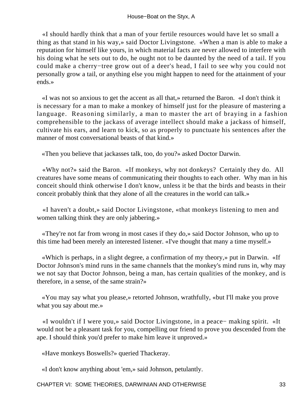«I should hardly think that a man of your fertile resources would have let so small a thing as that stand in his way,» said Doctor Livingstone. «When a man is able to make a reputation for himself like yours, in which material facts are never allowed to interfere with his doing what he sets out to do, he ought not to be daunted by the need of a tail. If you could make a cherry−tree grow out of a deer's head, I fail to see why you could not personally grow a tail, or anything else you might happen to need for the attainment of your ends.»

 «I was not so anxious to get the accent as all that,» returned the Baron. «I don't think it is necessary for a man to make a monkey of himself just for the pleasure of mastering a language. Reasoning similarly, a man to master the art of braying in a fashion comprehensible to the jackass of average intellect should make a jackass of himself, cultivate his ears, and learn to kick, so as properly to punctuate his sentences after the manner of most conversational beasts of that kind.»

«Then you believe that jackasses talk, too, do you?» asked Doctor Darwin.

 «Why not?» said the Baron. «If monkeys, why not donkeys? Certainly they do. All creatures have some means of communicating their thoughts to each other. Why man in his conceit should think otherwise I don't know, unless it be that the birds and beasts in their conceit probably think that they alone of all the creatures in the world can talk.»

 «I haven't a doubt,» said Doctor Livingstone, «that monkeys listening to men and women talking think they are only jabbering.»

 «They're not far from wrong in most cases if they do,» said Doctor Johnson, who up to this time had been merely an interested listener. «I've thought that many a time myself.»

 «Which is perhaps, in a slight degree, a confirmation of my theory,» put in Darwin. «If Doctor Johnson's mind runs in the same channels that the monkey's mind runs in, why may we not say that Doctor Johnson, being a man, has certain qualities of the monkey, and is therefore, in a sense, of the same strain?»

 «You may say what you please,» retorted Johnson, wrathfully, «but I'll make you prove what you say about me.»

 «I wouldn't if I were you,» said Doctor Livingstone, in a peace− making spirit. «It would not be a pleasant task for you, compelling our friend to prove you descended from the ape. I should think you'd prefer to make him leave it unproved.»

«Have monkeys Boswells?» queried Thackeray.

«I don't know anything about 'em,» said Johnson, petulantly.

CHAPTER VI: SOME THEORIES, DARWINIAN AND OTHERWISE 33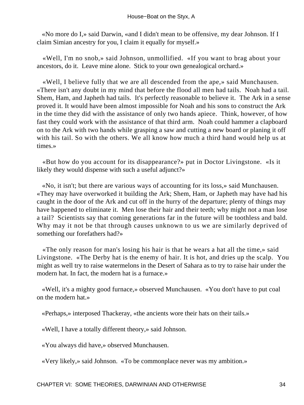«No more do I,» said Darwin, «and I didn't mean to be offensive, my dear Johnson. If I claim Simian ancestry for you, I claim it equally for myself.»

 «Well, I'm no snob,» said Johnson, unmollified. «If you want to brag about your ancestors, do it. Leave mine alone. Stick to your own genealogical orchard.»

 «Well, I believe fully that we are all descended from the ape,» said Munchausen. «There isn't any doubt in my mind that before the flood all men had tails. Noah had a tail. Shem, Ham, and Japheth had tails. It's perfectly reasonable to believe it. The Ark in a sense proved it. It would have been almost impossible for Noah and his sons to construct the Ark in the time they did with the assistance of only two hands apiece. Think, however, of how fast they could work with the assistance of that third arm. Noah could hammer a clapboard on to the Ark with two hands while grasping a saw and cutting a new board or planing it off with his tail. So with the others. We all know how much a third hand would help us at times.»

 «But how do you account for its disappearance?» put in Doctor Livingstone. «Is it likely they would dispense with such a useful adjunct?»

 «No, it isn't; but there are various ways of accounting for its loss,» said Munchausen. «They may have overworked it building the Ark; Shem, Ham, or Japheth may have had his caught in the door of the Ark and cut off in the hurry of the departure; plenty of things may have happened to eliminate it. Men lose their hair and their teeth; why might not a man lose a tail? Scientists say that coming generations far in the future will be toothless and bald. Why may it not be that through causes unknown to us we are similarly deprived of something our forefathers had?»

 «The only reason for man's losing his hair is that he wears a hat all the time,» said Livingstone. «The Derby hat is the enemy of hair. It is hot, and dries up the scalp. You might as well try to raise watermelons in the Desert of Sahara as to try to raise hair under the modern hat. In fact, the modern hat is a furnace.»

 «Well, it's a mighty good furnace,» observed Munchausen. «You don't have to put coal on the modern hat.»

«Perhaps,» interposed Thackeray, «the ancients wore their hats on their tails.»

«Well, I have a totally different theory,» said Johnson.

«You always did have,» observed Munchausen.

«Very likely,» said Johnson. «To be commonplace never was my ambition.»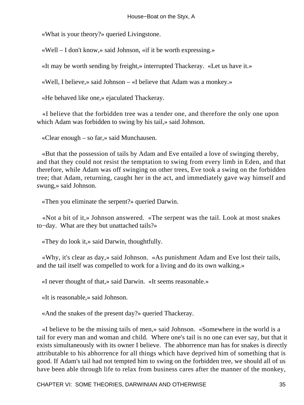«What is your theory?» queried Livingstone.

«Well – I don't know,» said Johnson, «if it be worth expressing.»

«It may be worth sending by freight,» interrupted Thackeray. «Let us have it.»

«Well, I believe,» said Johnson – «I believe that Adam was a monkey.»

«He behaved like one,» ejaculated Thackeray.

 «I believe that the forbidden tree was a tender one, and therefore the only one upon which Adam was forbidden to swing by his tail,» said Johnson.

«Clear enough – so far,» said Munchausen.

 «But that the possession of tails by Adam and Eve entailed a love of swinging thereby, and that they could not resist the temptation to swing from every limb in Eden, and that therefore, while Adam was off swinging on other trees, Eve took a swing on the forbidden tree; that Adam, returning, caught her in the act, and immediately gave way himself and swung,» said Johnson.

«Then you eliminate the serpent?» queried Darwin.

 «Not a bit of it,» Johnson answered. «The serpent was the tail. Look at most snakes to−day. What are they but unattached tails?»

«They do look it,» said Darwin, thoughtfully.

 «Why, it's clear as day,» said Johnson. «As punishment Adam and Eve lost their tails, and the tail itself was compelled to work for a living and do its own walking.»

«I never thought of that,» said Darwin. «It seems reasonable.»

«It is reasonable,» said Johnson.

«And the snakes of the present day?» queried Thackeray.

 «I believe to be the missing tails of men,» said Johnson. «Somewhere in the world is a tail for every man and woman and child. Where one's tail is no one can ever say, but that it exists simultaneously with its owner I believe. The abhorrence man has for snakes is directly attributable to his abhorrence for all things which have deprived him of something that is good. If Adam's tail had not tempted him to swing on the forbidden tree, we should all of us have been able through life to relax from business cares after the manner of the monkey,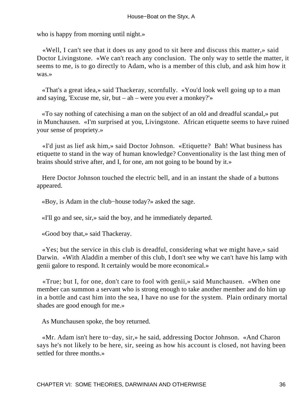who is happy from morning until night.»

 «Well, I can't see that it does us any good to sit here and discuss this matter,» said Doctor Livingstone. «We can't reach any conclusion. The only way to settle the matter, it seems to me, is to go directly to Adam, who is a member of this club, and ask him how it was.»

 «That's a great idea,» said Thackeray, scornfully. «You'd look well going up to a man and saying, 'Excuse me, sir, but – ah – were you ever a monkey?'»

 «To say nothing of catechising a man on the subject of an old and dreadful scandal,» put in Munchausen. «I'm surprised at you, Livingstone. African etiquette seems to have ruined your sense of propriety.»

 «I'd just as lief ask him,» said Doctor Johnson. «Etiquette? Bah! What business has etiquette to stand in the way of human knowledge? Conventionality is the last thing men of brains should strive after, and I, for one, am not going to be bound by it.»

 Here Doctor Johnson touched the electric bell, and in an instant the shade of a buttons appeared.

«Boy, is Adam in the club−house today?» asked the sage.

«I'll go and see, sir,» said the boy, and he immediately departed.

«Good boy that,» said Thackeray.

 «Yes; but the service in this club is dreadful, considering what we might have,» said Darwin. «With Aladdin a member of this club, I don't see why we can't have his lamp with genii galore to respond. It certainly would be more economical.»

 «True; but I, for one, don't care to fool with genii,» said Munchausen. «When one member can summon a servant who is strong enough to take another member and do him up in a bottle and cast him into the sea, I have no use for the system. Plain ordinary mortal shades are good enough for me.»

As Munchausen spoke, the boy returned.

 «Mr. Adam isn't here to−day, sir,» he said, addressing Doctor Johnson. «And Charon says he's not likely to be here, sir, seeing as how his account is closed, not having been settled for three months.»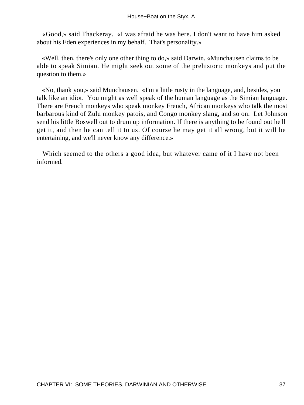«Good,» said Thackeray. «I was afraid he was here. I don't want to have him asked about his Eden experiences in my behalf. That's personality.»

 «Well, then, there's only one other thing to do,» said Darwin. «Munchausen claims to be able to speak Simian. He might seek out some of the prehistoric monkeys and put the question to them.»

 «No, thank you,» said Munchausen. «I'm a little rusty in the language, and, besides, you talk like an idiot. You might as well speak of the human language as the Simian language. There are French monkeys who speak monkey French, African monkeys who talk the most barbarous kind of Zulu monkey patois, and Congo monkey slang, and so on. Let Johnson send his little Boswell out to drum up information. If there is anything to be found out he'll get it, and then he can tell it to us. Of course he may get it all wrong, but it will be entertaining, and we'll never know any difference.»

 Which seemed to the others a good idea, but whatever came of it I have not been informed.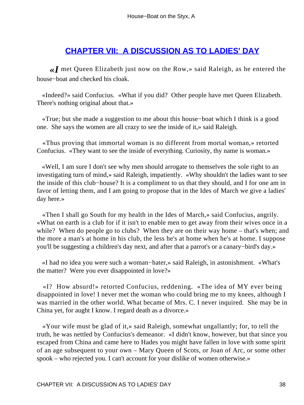## **[CHAPTER VII: A DISCUSSION AS TO LADIES' DAY](#page-72-0)**

*«I* met Queen Elizabeth just now on the Row,» said Raleigh, as he entered the house−boat and checked his cloak.

 «Indeed?» said Confucius. «What if you did? Other people have met Queen Elizabeth. There's nothing original about that.»

 «True; but she made a suggestion to me about this house−boat which I think is a good one. She says the women are all crazy to see the inside of it,» said Raleigh.

 «Thus proving that immortal woman is no different from mortal woman,» retorted Confucius. «They want to see the inside of everything. Curiosity, thy name is woman.»

 «Well, I am sure I don't see why men should arrogate to themselves the sole right to an investigating turn of mind,» said Raleigh, impatiently. «Why shouldn't the ladies want to see the inside of this club−house? It is a compliment to us that they should, and I for one am in favor of letting them, and I am going to propose that in the Ides of March we give a ladies' day here.»

 «Then I shall go South for my health in the Ides of March,» said Confucius, angrily. «What on earth is a club for if it isn't to enable men to get away from their wives once in a while? When do people go to clubs? When they are on their way home – that's when; and the more a man's at home in his club, the less he's at home when he's at home. I suppose you'll be suggesting a children's day next, and after that a parrot's or a canary−bird's day.»

 «I had no idea you were such a woman−hater,» said Raleigh, in astonishment. «What's the matter? Were you ever disappointed in love?»

 «I? How absurd!» retorted Confucius, reddening. «The idea of MY ever being disappointed in love! I never met the woman who could bring me to my knees, although I was married in the other world. What became of Mrs. C. I never inquired. She may be in China yet, for aught I know. I regard death as a divorce.»

 «Your wife must be glad of it,» said Raleigh, somewhat ungallantly; for, to tell the truth, he was nettled by Confucius's demeanor. «I didn't know, however, but that since you escaped from China and came here to Hades you might have fallen in love with some spirit of an age subsequent to your own – Mary Queen of Scots, or Joan of Arc, or some other spook – who rejected you. I can't account for your dislike of women otherwise.»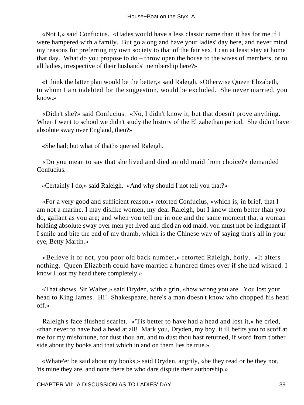«Not I,» said Confucius. «Hades would have a less classic name than it has for me if I were hampered with a family. But go along and have your ladies' day here, and never mind my reasons for preferring my own society to that of the fair sex. I can at least stay at home that day. What do you propose to do – throw open the house to the wives of members, or to all ladies, irrespective of their husbands' membership here?»

 «I think the latter plan would be the better,» said Raleigh. «Otherwise Queen Elizabeth, to whom I am indebted for the suggestion, would be excluded. She never married, you know.»

 «Didn't she?» said Confucius. «No, I didn't know it; but that doesn't prove anything. When I went to school we didn't study the history of the Elizabethan period. She didn't have absolute sway over England, then?»

«She had; but what of that?» queried Raleigh.

 «Do you mean to say that she lived and died an old maid from choice?» demanded Confucius.

«Certainly I do,» said Raleigh. «And why should I not tell you that?»

 «For a very good and sufficient reason,» retorted Confucius, «which is, in brief, that I am not a marine. I may dislike women, my dear Raleigh, but I know them better than you do, gallant as you are; and when you tell me in one and the same moment that a woman holding absolute sway over men yet lived and died an old maid, you must not be indignant if I smile and bite the end of my thumb, which is the Chinese way of saying that's all in your eye, Betty Martin.»

 «Believe it or not, you poor old back number,» retorted Raleigh, hotly. «It alters nothing. Queen Elizabeth could have married a hundred times over if she had wished. I know I lost my head there completely.»

 «That shows, Sir Walter,» said Dryden, with a grin, «how wrong you are. You lost your head to King James. Hi! Shakespeare, here's a man doesn't know who chopped his head off.»

 Raleigh's face flushed scarlet. «'Tis better to have had a head and lost it,» he cried, «than never to have had a head at all! Mark you, Dryden, my boy, it ill befits you to scoff at me for my misfortune, for dust thou art, and to dust thou hast returned, if word from t'other side about thy books and that which in and on them lies be true.»

 «Whate'er be said about my books,» said Dryden, angrily, «be they read or be they not, 'tis mine they are, and none there be who dare dispute their authorship.»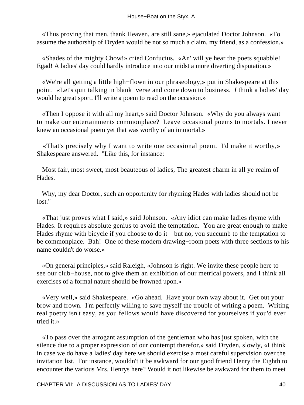«Thus proving that men, thank Heaven, are still sane,» ejaculated Doctor Johnson. «To assume the authorship of Dryden would be not so much a claim, my friend, as a confession.»

 «Shades of the mighty Chow!» cried Confucius. «An' will ye hear the poets squabble! Egad! A ladies' day could hardly introduce into our midst a more diverting disputation.»

 «We're all getting a little high−flown in our phraseology,» put in Shakespeare at this point. «Let's quit talking in blank−verse and come down to business. *I* think a ladies' day would be great sport. I'll write a poem to read on the occasion.»

 «Then I oppose it with all my heart,» said Doctor Johnson. «Why do you always want to make our entertainments commonplace? Leave occasional poems to mortals. I never knew an occasional poem yet that was worthy of an immortal.»

 «That's precisely why I want to write one occasional poem. I'd make it worthy,» Shakespeare answered. "Like this, for instance:

 Most fair, most sweet, most beauteous of ladies, The greatest charm in all ye realm of Hades.

 Why, my dear Doctor, such an opportunity for rhyming Hades with ladies should not be lost."

 «That just proves what I said,» said Johnson. «Any idiot can make ladies rhyme with Hades. It requires absolute genius to avoid the temptation. You are great enough to make Hades rhyme with bicycle if you choose to do it – but no, you succumb to the temptation to be commonplace. Bah! One of these modern drawing−room poets with three sections to his name couldn't do worse.»

 «On general principles,» said Raleigh, «Johnson is right. We invite these people here to see our club−house, not to give them an exhibition of our metrical powers, and I think all exercises of a formal nature should be frowned upon.»

 «Very well,» said Shakespeare. «Go ahead. Have your own way about it. Get out your brow and frown. I'm perfectly willing to save myself the trouble of writing a poem. Writing real poetry isn't easy, as you fellows would have discovered for yourselves if you'd ever tried it.»

 «To pass over the arrogant assumption of the gentleman who has just spoken, with the silence due to a proper expression of our contempt therefor,» said Dryden, slowly, «I think in case we do have a ladies' day here we should exercise a most careful supervision over the invitation list. For instance, wouldn't it be awkward for our good friend Henry the Eighth to encounter the various Mrs. Henrys here? Would it not likewise be awkward for them to meet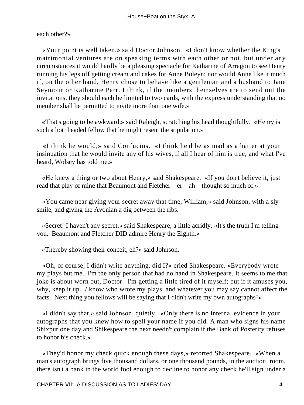each other?»

 «Your point is well taken,» said Doctor Johnson. «I don't know whether the King's matrimonial ventures are on speaking terms with each other or not, but under any circumstances it would hardly be a pleasing spectacle for Katharine of Arragon to see Henry running his legs off getting cream and cakes for Anne Boleyn; nor would Anne like it much if, on the other hand, Henry chose to behave like a gentleman and a husband to Jane Seymour or Katharine Parr. I think, if the members themselves are to send out the invitations, they should each be limited to two cards, with the express understanding that no member shall be permitted to invite more than one wife.»

 «That's going to be awkward,» said Raleigh, scratching his head thoughtfully. «Henry is such a hot−headed fellow that he might resent the stipulation.»

 «I think he would,» said Confucius. «I think he'd be as mad as a hatter at your insinuation that he would invite any of his wives, if all I hear of him is true; and what I've heard, Wolsey has told me.»

 «He knew a thing or two about Henry,» said Shakespeare. «If you don't believe it, just read that play of mine that Beaumont and Fletcher – er – ah – thought so much of.»

 «You came near giving your secret away that time, William,» said Johnson, with a sly smile, and giving the Avonian a dig between the ribs.

 «Secret! I haven't any secret,» said Shakespeare, a little acridly. «It's the truth I'm telling you. Beaumont and Fletcher DID admire Henry the Eighth.»

«Thereby showing their conceit, eh?» said Johnson.

 «Oh, of course, I didn't write anything, did I?» cried Shakespeare. «Everybody wrote my plays but me. I'm the only person that had no hand in Shakespeare. It seems to me that joke is about worn out, Doctor. I'm getting a little tired of it myself; but if it amuses you, why, keep it up. *I* know who wrote my plays, and whatever you may say cannot affect the facts. Next thing you fellows will be saying that I didn't write my own autographs?»

 «I didn't say that,» said Johnson, quietly. «Only there is no internal evidence in your autographs that you knew how to spell your name if you did. A man who signs his name Shixpur one day and Shikespeare the next needn't complain if the Bank of Posterity refuses to honor his check.»

 «They'd honor my check quick enough these days,» retorted Shakespeare. «When a man's autograph brings five thousand dollars, or one thousand pounds, in the auction−room, there isn't a bank in the world fool enough to decline to honor any check he'll sign under a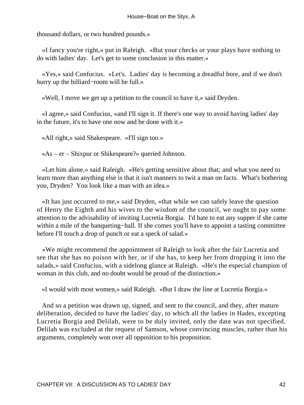thousand dollars, or two hundred pounds.»

 «I fancy you're right,» put in Raleigh. «But your checks or your plays have nothing to do with ladies' day. Let's get to some conclusion in this matter.»

 «Yes,» said Confucius. «Let's. Ladies' day is becoming a dreadful bore, and if we don't hurry up the billiard−room will be full.»

«Well, I move we get up a petition to the council to have it,» said Dryden.

 «I agree,» said Confucius, «and I'll sign it. If there's one way to avoid having ladies' day in the future, it's to have one now and be done with it.»

«All right,» said Shakespeare. «I'll sign too.»

«As – er – Shixpur or Shikespeare?» queried Johnson.

 «Let him alone,» said Raleigh. «He's getting sensitive about that; and what you need to learn more than anything else is that it isn't manners to twit a man on facts. What's bothering you, Dryden? You look like a man with an idea.»

 «It has just occurred to me,» said Dryden, «that while we can safely leave the question of Henry the Eighth and his wives to the wisdom of the council, we ought to pay some attention to the advisability of inviting Lucretia Borgia. I'd hate to eat any supper if she came within a mile of the banqueting−hall. If she comes you'll have to appoint a tasting committee before I'll touch a drop of punch or eat a speck of salad.»

 «We might recommend the appointment of Raleigh to look after the fair Lucretia and see that she has no poison with her, or if she has, to keep her from dropping it into the salads,» said Confucius, with a sidelong glance at Raleigh. «He's the especial champion of woman in this club, and no doubt would be proud of the distinction.»

«I would with most women,» said Raleigh. «But I draw the line at Lucretia Borgia.»

 And so a petition was drawn up, signed, and sent to the council, and they, after mature deliberation, decided to have the ladies' day, to which all the ladies in Hades, excepting Lucretia Borgia and Delilah, were to be duly invited, only the date was not specified. Delilah was excluded at the request of Samson, whose convincing muscles, rather than his arguments, completely won over all opposition to his proposition.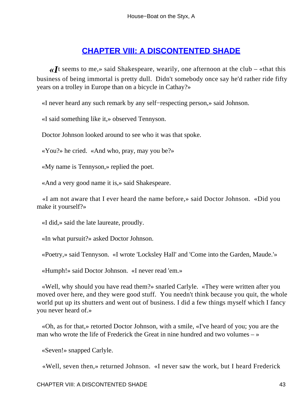#### **[CHAPTER VIII: A DISCONTENTED SHADE](#page-72-0)**

*«I*t seems to me,» said Shakespeare, wearily, one afternoon at the club – «that this business of being immortal is pretty dull. Didn't somebody once say he'd rather ride fifty years on a trolley in Europe than on a bicycle in Cathay?»

«I never heard any such remark by any self−respecting person,» said Johnson.

«I said something like it,» observed Tennyson.

Doctor Johnson looked around to see who it was that spoke.

«You?» he cried. «And who, pray, may you be?»

«My name is Tennyson,» replied the poet.

«And a very good name it is,» said Shakespeare.

 «I am not aware that I ever heard the name before,» said Doctor Johnson. «Did you make it yourself?»

«I did,» said the late laureate, proudly.

«In what pursuit?» asked Doctor Johnson.

«Poetry,» said Tennyson. «I wrote 'Locksley Hall' and 'Come into the Garden, Maude.'»

«Humph!» said Doctor Johnson. «I never read 'em.»

 «Well, why should you have read them?» snarled Carlyle. «They were written after you moved over here, and they were good stuff. You needn't think because you quit, the whole world put up its shutters and went out of business. I did a few things myself which I fancy you never heard of.»

 «Oh, as for that,» retorted Doctor Johnson, with a smile, «I've heard of you; you are the man who wrote the life of Frederick the Great in nine hundred and two volumes – »

«Seven!» snapped Carlyle.

«Well, seven then,» returned Johnson. «I never saw the work, but I heard Frederick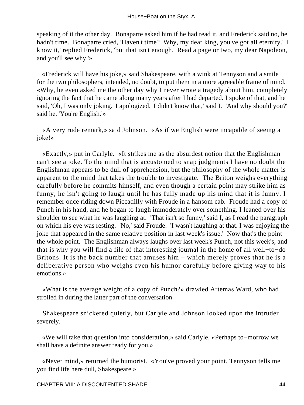speaking of it the other day. Bonaparte asked him if he had read it, and Frederick said no, he hadn't time. Bonaparte cried, 'Haven't time? Why, my dear king, you've got all eternity.' 'I know it,' replied Frederick, 'but that isn't enough. Read a page or two, my dear Napoleon, and you'll see why.'»

 «Frederick will have his joke,» said Shakespeare, with a wink at Tennyson and a smile for the two philosophers, intended, no doubt, to put them in a more agreeable frame of mind. «Why, he even asked me the other day why I never wrote a tragedy about him, completely ignoring the fact that he came along many years after I had departed. I spoke of that, and he said, 'Oh, I was only joking.' I apologized. 'I didn't know that,' said I. 'And why should you?' said he. 'You're English.'»

 «A very rude remark,» said Johnson. «As if we English were incapable of seeing a joke!»

 «Exactly,» put in Carlyle. «It strikes me as the absurdest notion that the Englishman can't see a joke. To the mind that is accustomed to snap judgments I have no doubt the Englishman appears to be dull of apprehension, but the philosophy of the whole matter is apparent to the mind that takes the trouble to investigate. The Briton weighs everything carefully before he commits himself, and even though a certain point may strike him as funny, he isn't going to laugh until he has fully made up his mind that it is funny. I remember once riding down Piccadilly with Froude in a hansom cab. Froude had a copy of Punch in his hand, and he began to laugh immoderately over something. I leaned over his shoulder to see what he was laughing at. 'That isn't so funny,' said I, as I read the paragraph on which his eye was resting. 'No,' said Froude. 'I wasn't laughing at that. I was enjoying the joke that appeared in the same relative position in last week's issue.' Now that's the point – the whole point. The Englishman always laughs over last week's Punch, not this week's, and that is why you will find a file of that interesting journal in the home of all well−to−do Britons. It is the back number that amuses him – which merely proves that he is a deliberative person who weighs even his humor carefully before giving way to his emotions.»

 «What is the average weight of a copy of Punch?» drawled Artemas Ward, who had strolled in during the latter part of the conversation.

 Shakespeare snickered quietly, but Carlyle and Johnson looked upon the intruder severely.

 «We will take that question into consideration,» said Carlyle. «Perhaps to−morrow we shall have a definite answer ready for you.»

 «Never mind,» returned the humorist. «You've proved your point. Tennyson tells me you find life here dull, Shakespeare.»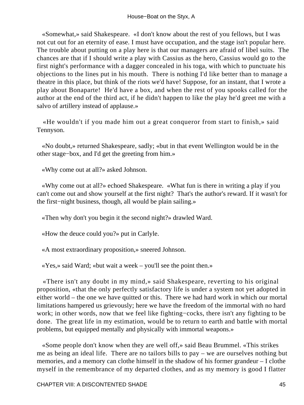«Somewhat,» said Shakespeare. «I don't know about the rest of you fellows, but I was not cut out for an eternity of ease. I must have occupation, and the stage isn't popular here. The trouble about putting on a play here is that our managers are afraid of libel suits. The chances are that if I should write a play with Cassius as the hero, Cassius would go to the first night's performance with a dagger concealed in his toga, with which to punctuate his objections to the lines put in his mouth. There is nothing I'd like better than to manage a theatre in this place, but think of the riots we'd have! Suppose, for an instant, that I wrote a play about Bonaparte! He'd have a box, and when the rest of you spooks called for the author at the end of the third act, if he didn't happen to like the play he'd greet me with a salvo of artillery instead of applause.»

 «He wouldn't if you made him out a great conqueror from start to finish,» said Tennyson.

 «No doubt,» returned Shakespeare, sadly; «but in that event Wellington would be in the other stage−box, and I'd get the greeting from him.»

«Why come out at all?» asked Johnson.

 «Why come out at all?» echoed Shakespeare. «What fun is there in writing a play if you can't come out and show yourself at the first night? That's the author's reward. If it wasn't for the first−night business, though, all would be plain sailing.»

«Then why don't you begin it the second night?» drawled Ward.

«How the deuce could you?» put in Carlyle.

«A most extraordinary proposition,» sneered Johnson.

«Yes,» said Ward; «but wait a week – you'll see the point then.»

 «There isn't any doubt in my mind,» said Shakespeare, reverting to his original proposition, «that the only perfectly satisfactory life is under a system not yet adopted in either world – the one we have quitted or this. There we had hard work in which our mortal limitations hampered us grievously; here we have the freedom of the immortal with no hard work; in other words, now that we feel like fighting−cocks, there isn't any fighting to be done. The great life in my estimation, would be to return to earth and battle with mortal problems, but equipped mentally and physically with immortal weapons.»

 «Some people don't know when they are well off,» said Beau Brummel. «This strikes me as being an ideal life. There are no tailors bills to pay – we are ourselves nothing but memories, and a memory can clothe himself in the shadow of his former grandeur – I clothe myself in the remembrance of my departed clothes, and as my memory is good I flatter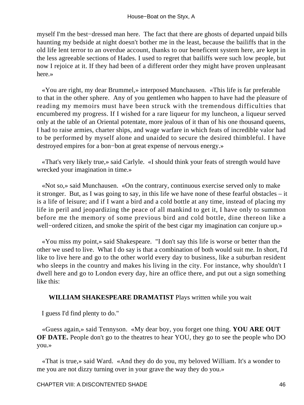myself I'm the best−dressed man here. The fact that there are ghosts of departed unpaid bills haunting my bedside at night doesn't bother me in the least, because the bailiffs that in the old life lent terror to an overdue account, thanks to our beneficent system here, are kept in the less agreeable sections of Hades. I used to regret that bailiffs were such low people, but now I rejoice at it. If they had been of a different order they might have proven unpleasant here.»

 «You are right, my dear Brummel,» interposed Munchausen. «This life is far preferable to that in the other sphere. Any of you gentlemen who happen to have had the pleasure of reading my memoirs must have been struck with the tremendous difficulties that encumbered my progress. If I wished for a rare liqueur for my luncheon, a liqueur served only at the table of an Oriental potentate, more jealous of it than of his one thousand queens, I had to raise armies, charter ships, and wage warfare in which feats of incredible valor had to be performed by myself alone and unaided to secure the desired thimbleful. I have destroyed empires for a bon−bon at great expense of nervous energy.»

 «That's very likely true,» said Carlyle. «I should think your feats of strength would have wrecked your imagination in time.»

 «Not so,» said Munchausen. «On the contrary, continuous exercise served only to make it stronger. But, as I was going to say, in this life we have none of these fearful obstacles – it is a life of leisure; and if I want a bird and a cold bottle at any time, instead of placing my life in peril and jeopardizing the peace of all mankind to get it, I have only to summon before me the memory of some previous bird and cold bottle, dine thereon like a well−ordered citizen, and smoke the spirit of the best cigar my imagination can conjure up.»

 «You miss my point,» said Shakespeare. "I don't say this life is worse or better than the other we used to live. What I do say is that a combination of both would suit me. In short, I'd like to live here and go to the other world every day to business, like a suburban resident who sleeps in the country and makes his living in the city. For instance, why shouldn't I dwell here and go to London every day, hire an office there, and put out a sign something like this:

#### **WILLIAM SHAKESPEARE DRAMATIST** Plays written while you wait

I guess I'd find plenty to do."

 «Guess again,» said Tennyson. «My dear boy, you forget one thing. **YOU ARE OUT OF DATE.** People don't go to the theatres to hear YOU, they go to see the people who DO you.»

 «That is true,» said Ward. «And they do do you, my beloved William. It's a wonder to me you are not dizzy turning over in your grave the way they do you.»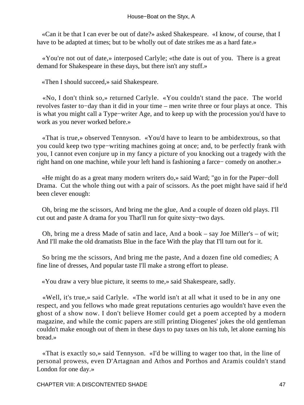«Can it be that I can ever be out of date?» asked Shakespeare. «I know, of course, that I have to be adapted at times; but to be wholly out of date strikes me as a hard fate.»

 «You're not out of date,» interposed Carlyle; «the date is out of you. There is a great demand for Shakespeare in these days, but there isn't any stuff.»

«Then I should succeed,» said Shakespeare.

 «No, I don't think so,» returned Carlyle. «You couldn't stand the pace. The world revolves faster to−day than it did in your time – men write three or four plays at once. This is what you might call a Type−writer Age, and to keep up with the procession you'd have to work as you never worked before.»

 «That is true,» observed Tennyson. «You'd have to learn to be ambidextrous, so that you could keep two type−writing machines going at once; and, to be perfectly frank with you, I cannot even conjure up in my fancy a picture of you knocking out a tragedy with the right hand on one machine, while your left hand is fashioning a farce− comedy on another.»

 «He might do as a great many modern writers do,» said Ward; "go in for the Paper−doll Drama. Cut the whole thing out with a pair of scissors. As the poet might have said if he'd been clever enough:

 Oh, bring me the scissors, And bring me the glue, And a couple of dozen old plays. I'll cut out and paste A drama for you That'll run for quite sixty−two days.

 Oh, bring me a dress Made of satin and lace, And a book – say Joe Miller's – of wit; And I'll make the old dramatists Blue in the face With the play that I'll turn out for it.

 So bring me the scissors, And bring me the paste, And a dozen fine old comedies; A fine line of dresses, And popular taste I'll make a strong effort to please.

«You draw a very blue picture, it seems to me,» said Shakespeare, sadly.

 «Well, it's true,» said Carlyle. «The world isn't at all what it used to be in any one respect, and you fellows who made great reputations centuries ago wouldn't have even the ghost of a show now. I don't believe Homer could get a poem accepted by a modern magazine, and while the comic papers are still printing Diogenes' jokes the old gentleman couldn't make enough out of them in these days to pay taxes on his tub, let alone earning his bread.»

 «That is exactly so,» said Tennyson. «I'd be willing to wager too that, in the line of personal prowess, even D'Artagnan and Athos and Porthos and Aramis couldn't stand London for one day.»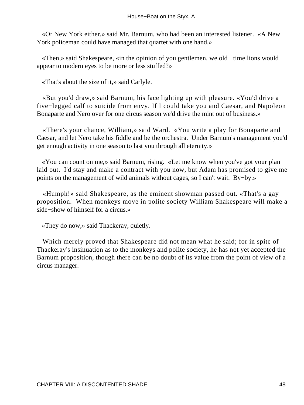«Or New York either,» said Mr. Barnum, who had been an interested listener. «A New York policeman could have managed that quartet with one hand.»

 «Then,» said Shakespeare, «in the opinion of you gentlemen, we old− time lions would appear to modern eyes to be more or less stuffed?»

«That's about the size of it,» said Carlyle.

 «But you'd draw,» said Barnum, his face lighting up with pleasure. «You'd drive a five−legged calf to suicide from envy. If I could take you and Caesar, and Napoleon Bonaparte and Nero over for one circus season we'd drive the mint out of business.»

 «There's your chance, William,» said Ward. «You write a play for Bonaparte and Caesar, and let Nero take his fiddle and be the orchestra. Under Barnum's management you'd get enough activity in one season to last you through all eternity.»

 «You can count on me,» said Barnum, rising. «Let me know when you've got your plan laid out. I'd stay and make a contract with you now, but Adam has promised to give me points on the management of wild animals without cages, so I can't wait. By−by.»

 «Humph!» said Shakespeare, as the eminent showman passed out. «That's a gay proposition. When monkeys move in polite society William Shakespeare will make a side−show of himself for a circus.»

«They do now,» said Thackeray, quietly.

 Which merely proved that Shakespeare did not mean what he said; for in spite of Thackeray's insinuation as to the monkeys and polite society, he has not yet accepted the Barnum proposition, though there can be no doubt of its value from the point of view of a circus manager.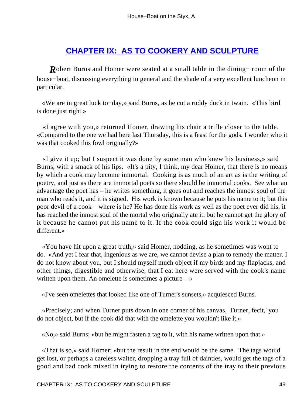## **[CHAPTER IX: AS TO COOKERY AND SCULPTURE](#page-72-0)**

*R*obert Burns and Homer were seated at a small table in the dining− room of the house−boat, discussing everything in general and the shade of a very excellent luncheon in particular.

 «We are in great luck to−day,» said Burns, as he cut a ruddy duck in twain. «This bird is done just right.»

 «I agree with you,» returned Homer, drawing his chair a trifle closer to the table. «Compared to the one we had here last Thursday, this is a feast for the gods. I wonder who it was that cooked this fowl originally?»

 «I give it up; but I suspect it was done by some man who knew his business,» said Burns, with a smack of his lips. «It's a pity, I think, my dear Homer, that there is no means by which a cook may become immortal. Cooking is as much of an art as is the writing of poetry, and just as there are immortal poets so there should be immortal cooks. See what an advantage the poet has – he writes something, it goes out and reaches the inmost soul of the man who reads it, and it is signed. His work is known because he puts his name to it; but this poor devil of a cook – where is he? He has done his work as well as the poet ever did his, it has reached the inmost soul of the mortal who originally ate it, but he cannot get the glory of it because he cannot put his name to it. If the cook could sign his work it would be different.»

 «You have hit upon a great truth,» said Homer, nodding, as he sometimes was wont to do. «And yet I fear that, ingenious as we are, we cannot devise a plan to remedy the matter. I do not know about you, but I should myself much object if my birds and my flapjacks, and other things, digestible and otherwise, that I eat here were served with the cook's name written upon them. An omelette is sometimes a picture  $-\infty$ 

«I've seen omelettes that looked like one of Turner's sunsets,» acquiesced Burns.

 «Precisely; and when Turner puts down in one corner of his canvas, 'Turner, fecit,' you do not object, but if the cook did that with the omelette you wouldn't like it.»

«No,» said Burns; «but he might fasten a tag to it, with his name written upon that.»

 «That is so,» said Homer; «but the result in the end would be the same. The tags would get lost, or perhaps a careless waiter, dropping a tray full of dainties, would get the tags of a good and bad cook mixed in trying to restore the contents of the tray to their previous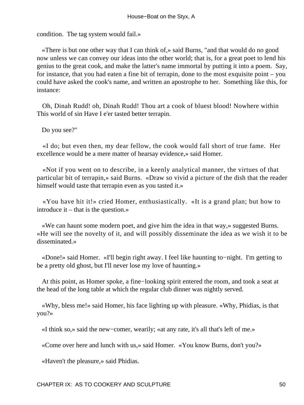condition. The tag system would fail.»

 «There is but one other way that I can think of,» said Burns, "and that would do no good now unless we can convey our ideas into the other world; that is, for a great poet to lend his genius to the great cook, and make the latter's name immortal by putting it into a poem. Say, for instance, that you had eaten a fine bit of terrapin, done to the most exquisite point – you could have asked the cook's name, and written an apostrophe to her. Something like this, for instance:

 Oh, Dinah Rudd! oh, Dinah Rudd! Thou art a cook of bluest blood! Nowhere within This world of sin Have I e'er tasted better terrapin.

Do you see?"

 «I do; but even then, my dear fellow, the cook would fall short of true fame. Her excellence would be a mere matter of hearsay evidence,» said Homer.

 «Not if you went on to describe, in a keenly analytical manner, the virtues of that particular bit of terrapin,» said Burns. «Draw so vivid a picture of the dish that the reader himself would taste that terrapin even as you tasted it.»

 «You have hit it!» cried Homer, enthusiastically. «It is a grand plan; but how to introduce it – that is the question.»

 «We can haunt some modern poet, and give him the idea in that way,» suggested Burns. «He will see the novelty of it, and will possibly disseminate the idea as we wish it to be disseminated.»

 «Done!» said Homer. «I'll begin right away. I feel like haunting to−night. I'm getting to be a pretty old ghost, but I'll never lose my love of haunting.»

 At this point, as Homer spoke, a fine−looking spirit entered the room, and took a seat at the head of the long table at which the regular club dinner was nightly served.

 «Why, bless me!» said Homer, his face lighting up with pleasure. «Why, Phidias, is that you?»

«I think so,» said the new−comer, wearily; «at any rate, it's all that's left of me.»

«Come over here and lunch with us,» said Homer. «You know Burns, don't you?»

«Haven't the pleasure,» said Phidias.

CHAPTER IX: AS TO COOKERY AND SCULPTURE THE SOLOMON SOLOMON SOLOMON SOLOMON SOLOMON SOLOMON SOLOMON SOLOMON SO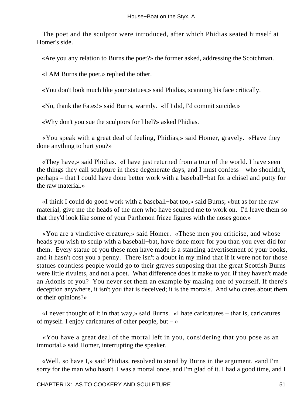The poet and the sculptor were introduced, after which Phidias seated himself at Homer's side.

«Are you any relation to Burns the poet?» the former asked, addressing the Scotchman.

«I AM Burns the poet,» replied the other.

«You don't look much like your statues,» said Phidias, scanning his face critically.

«No, thank the Fates!» said Burns, warmly. «If I did, I'd commit suicide.»

«Why don't you sue the sculptors for libel?» asked Phidias.

 «You speak with a great deal of feeling, Phidias,» said Homer, gravely. «Have they done anything to hurt you?»

 «They have,» said Phidias. «I have just returned from a tour of the world. I have seen the things they call sculpture in these degenerate days, and I must confess – who shouldn't, perhaps – that I could have done better work with a baseball−bat for a chisel and putty for the raw material.»

 «I think I could do good work with a baseball−bat too,» said Burns; «but as for the raw material, give me the heads of the men who have sculped me to work on. I'd leave them so that they'd look like some of your Parthenon frieze figures with the noses gone.»

 «You are a vindictive creature,» said Homer. «These men you criticise, and whose heads you wish to sculp with a baseball−bat, have done more for you than you ever did for them. Every statue of you these men have made is a standing advertisement of your books, and it hasn't cost you a penny. There isn't a doubt in my mind that if it were not for those statues countless people would go to their graves supposing that the great Scottish Burns were little rivulets, and not a poet. What difference does it make to you if they haven't made an Adonis of you? You never set them an example by making one of yourself. If there's deception anywhere, it isn't you that is deceived; it is the mortals. And who cares about them or their opinions?»

 «I never thought of it in that way,» said Burns. «I hate caricatures – that is, caricatures of myself. I enjoy caricatures of other people, but – »

 «You have a great deal of the mortal left in you, considering that you pose as an immortal,» said Homer, interrupting the speaker.

 «Well, so have I,» said Phidias, resolved to stand by Burns in the argument, «and I'm sorry for the man who hasn't. I was a mortal once, and I'm glad of it. I had a good time, and I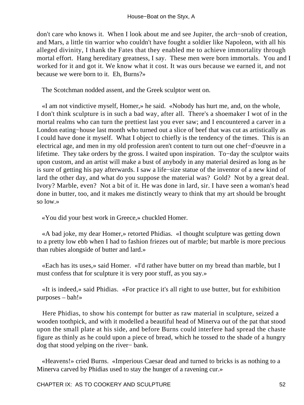don't care who knows it. When I look about me and see Jupiter, the arch−snob of creation, and Mars, a little tin warrior who couldn't have fought a soldier like Napoleon, with all his alleged divinity, I thank the Fates that they enabled me to achieve immortality through mortal effort. Hang hereditary greatness, I say. These men were born immortals. You and I worked for it and got it. We know what it cost. It was ours because we earned it, and not because we were born to it. Eh, Burns?»

The Scotchman nodded assent, and the Greek sculptor went on.

 «I am not vindictive myself, Homer,» he said. «Nobody has hurt me, and, on the whole, I don't think sculpture is in such a bad way, after all. There's a shoemaker I wot of in the mortal realms who can turn the prettiest last you ever saw; and I encountered a carver in a London eating−house last month who turned out a slice of beef that was cut as artistically as I could have done it myself. What I object to chiefly is the tendency of the times. This is an electrical age, and men in my old profession aren't content to turn out one chef−d'oeuvre in a lifetime. They take orders by the gross. I waited upon inspiration. To−day the sculptor waits upon custom, and an artist will make a bust of anybody in any material desired as long as he is sure of getting his pay afterwards. I saw a life−size statue of the inventor of a new kind of lard the other day, and what do you suppose the material was? Gold? Not by a great deal. Ivory? Marble, even? Not a bit of it. He was done in lard, sir. I have seen a woman's head done in butter, too, and it makes me distinctly weary to think that my art should be brought so low.»

«You did your best work in Greece,» chuckled Homer.

 «A bad joke, my dear Homer,» retorted Phidias. «I thought sculpture was getting down to a pretty low ebb when I had to fashion friezes out of marble; but marble is more precious than rubies alongside of butter and lard.»

 «Each has its uses,» said Homer. «I'd rather have butter on my bread than marble, but I must confess that for sculpture it is very poor stuff, as you say.»

 «It is indeed,» said Phidias. «For practice it's all right to use butter, but for exhibition purposes – bah!»

 Here Phidias, to show his contempt for butter as raw material in sculpture, seized a wooden toothpick, and with it modelled a beautiful head of Minerva out of the pat that stood upon the small plate at his side, and before Burns could interfere had spread the chaste figure as thinly as he could upon a piece of bread, which he tossed to the shade of a hungry dog that stood yelping on the river− bank.

 «Heavens!» cried Burns. «Imperious Caesar dead and turned to bricks is as nothing to a Minerva carved by Phidias used to stay the hunger of a ravening cur.»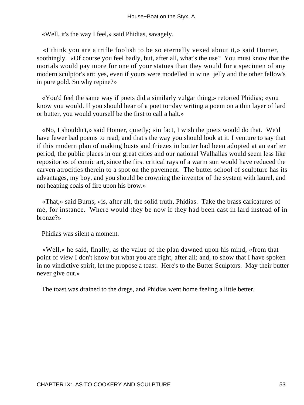«Well, it's the way I feel,» said Phidias, savagely.

 «I think you are a trifle foolish to be so eternally vexed about it,» said Homer, soothingly. «Of course you feel badly, but, after all, what's the use? You must know that the mortals would pay more for one of your statues than they would for a specimen of any modern sculptor's art; yes, even if yours were modelled in wine−jelly and the other fellow's in pure gold. So why repine?»

 «You'd feel the same way if poets did a similarly vulgar thing,» retorted Phidias; «you know you would. If you should hear of a poet to−day writing a poem on a thin layer of lard or butter, you would yourself be the first to call a halt.»

 «No, I shouldn't,» said Homer, quietly; «in fact, I wish the poets would do that. We'd have fewer bad poems to read; and that's the way you should look at it. I venture to say that if this modern plan of making busts and friezes in butter had been adopted at an earlier period, the public places in our great cities and our national Walhallas would seem less like repositories of comic art, since the first critical rays of a warm sun would have reduced the carven atrocities therein to a spot on the pavement. The butter school of sculpture has its advantages, my boy, and you should be crowning the inventor of the system with laurel, and not heaping coals of fire upon his brow.»

 «That,» said Burns, «is, after all, the solid truth, Phidias. Take the brass caricatures of me, for instance. Where would they be now if they had been cast in lard instead of in bronze?»

Phidias was silent a moment.

 «Well,» he said, finally, as the value of the plan dawned upon his mind, «from that point of view I don't know but what you are right, after all; and, to show that I have spoken in no vindictive spirit, let me propose a toast. Here's to the Butter Sculptors. May their butter never give out.»

The toast was drained to the dregs, and Phidias went home feeling a little better.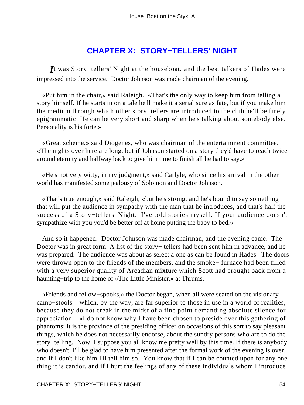# **[CHAPTER X: STORY−TELLERS' NIGHT](#page-72-0)**

*I*t was Story−tellers' Night at the houseboat, and the best talkers of Hades were impressed into the service. Doctor Johnson was made chairman of the evening.

 «Put him in the chair,» said Raleigh. «That's the only way to keep him from telling a story himself. If he starts in on a tale he'll make it a serial sure as fate, but if you make him the medium through which other story−tellers are introduced to the club he'll be finely epigrammatic. He can be very short and sharp when he's talking about somebody else. Personality is his forte.»

 «Great scheme,» said Diogenes, who was chairman of the entertainment committee. «The nights over here are long, but if Johnson started on a story they'd have to reach twice around eternity and halfway back to give him time to finish all he had to say.»

 «He's not very witty, in my judgment,» said Carlyle, who since his arrival in the other world has manifested some jealousy of Solomon and Doctor Johnson.

 «That's true enough,» said Raleigh; «but he's strong, and he's bound to say something that will put the audience in sympathy with the man that he introduces, and that's half the success of a Story−tellers' Night. I've told stories myself. If your audience doesn't sympathize with you you'd be better off at home putting the baby to bed.»

 And so it happened. Doctor Johnson was made chairman, and the evening came. The Doctor was in great form. A list of the story– tellers had been sent him in advance, and he was prepared. The audience was about as select a one as can be found in Hades. The doors were thrown open to the friends of the members, and the smoke− furnace had been filled with a very superior quality of Arcadian mixture which Scott had brought back from a haunting−trip to the home of «The Little Minister,» at Thrums.

 «Friends and fellow−spooks,» the Doctor began, when all were seated on the visionary camp−stools – which, by the way, are far superior to those in use in a world of realities, because they do not creak in the midst of a fine point demanding absolute silence for appreciation – «I do not know why I have been chosen to preside over this gathering of phantoms; it is the province of the presiding officer on occasions of this sort to say pleasant things, which he does not necessarily endorse, about the sundry persons who are to do the story−telling. Now, I suppose you all know me pretty well by this time. If there is anybody who doesn't, I'll be glad to have him presented after the formal work of the evening is over, and if I don't like him I'll tell him so. You know that if I can be counted upon for any one thing it is candor, and if I hurt the feelings of any of these individuals whom I introduce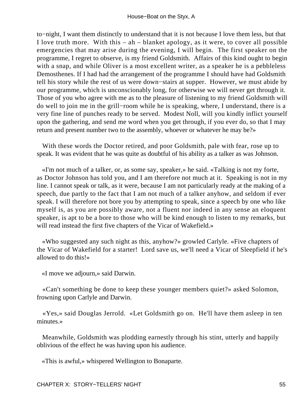to−night, I want them distinctly to understand that it is not because I love them less, but that I love truth more. With this  $-$  ah  $-$  blanket apology, as it were, to cover all possible emergencies that may arise during the evening, I will begin. The first speaker on the programme, I regret to observe, is my friend Goldsmith. Affairs of this kind ought to begin with a snap, and while Oliver is a most excellent writer, as a speaker he is a pebbleless Demosthenes. If I had had the arrangement of the programme I should have had Goldsmith tell his story while the rest of us were down−stairs at supper. However, we must abide by our programme, which is unconscionably long, for otherwise we will never get through it. Those of you who agree with me as to the pleasure of listening to my friend Goldsmith will do well to join me in the grill−room while he is speaking, where, I understand, there is a very fine line of punches ready to be served. Modest Noll, will you kindly inflict yourself upon the gathering, and send me word when you get through, if you ever do, so that I may return and present number two to the assembly, whoever or whatever he may be?»

 With these words the Doctor retired, and poor Goldsmith, pale with fear, rose up to speak. It was evident that he was quite as doubtful of his ability as a talker as was Johnson.

 «I'm not much of a talker, or, as some say, speaker,» he said. «Talking is not my forte, as Doctor Johnson has told you, and I am therefore not much at it. Speaking is not in my line. I cannot speak or talk, as it were, because I am not particularly ready at the making of a speech, due partly to the fact that I am not much of a talker anyhow, and seldom if ever speak. I will therefore not bore you by attempting to speak, since a speech by one who like myself is, as you are possibly aware, not a fluent nor indeed in any sense an eloquent speaker, is apt to be a bore to those who will be kind enough to listen to my remarks, but will read instead the first five chapters of the Vicar of Wakefield.»

 «Who suggested any such night as this, anyhow?» growled Carlyle. «Five chapters of the Vicar of Wakefield for a starter! Lord save us, we'll need a Vicar of Sleepfield if he's allowed to do this!»

«I move we adjourn,» said Darwin.

 «Can't something be done to keep these younger members quiet?» asked Solomon, frowning upon Carlyle and Darwin.

 «Yes,» said Douglas Jerrold. «Let Goldsmith go on. He'll have them asleep in ten minutes.»

 Meanwhile, Goldsmith was plodding earnestly through his stint, utterly and happily oblivious of the effect he was having upon his audience.

«This is awful,» whispered Wellington to Bonaparte.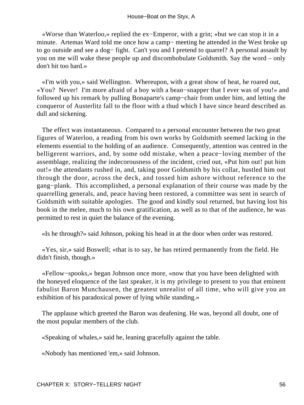«Worse than Waterloo,» replied the ex−Emperor, with a grin; «but we can stop it in a minute. Artemas Ward told me once how a camp− meeting he attended in the West broke up to go outside and see a dog− fight. Can't you and I pretend to quarrel? A personal assault by you on me will wake these people up and discombobulate Goldsmith. Say the word – only don't hit too hard.»

 «I'm with you,» said Wellington. Whereupon, with a great show of heat, he roared out, «You? Never! I'm more afraid of a boy with a bean−snapper that I ever was of you!» and followed up his remark by pulling Bonaparte's camp−chair from under him, and letting the conqueror of Austerlitz fall to the floor with a thud which I have since heard described as dull and sickening.

 The effect was instantaneous. Compared to a personal encounter between the two great figures of Waterloo, a reading from his own works by Goldsmith seemed lacking in the elements essential to the holding of an audience. Consequently, attention was centred in the belligerent warriors, and, by some odd mistake, when a peace−loving member of the assemblage, realizing the indecorousness of the incident, cried out, «Put him out! put him out!» the attendants rushed in, and, taking poor Goldsmith by his collar, hustled him out through the door, across the deck, and tossed him ashore without reference to the gang−plank. This accomplished, a personal explanation of their course was made by the quarrelling generals, and, peace having been restored, a committee was sent in search of Goldsmith with suitable apologies. The good and kindly soul returned, but having lost his book in the melee, much to his own gratification, as well as to that of the audience, he was permitted to rest in quiet the balance of the evening.

«Is he through?» said Johnson, poking his head in at the door when order was restored.

 «Yes, sir,» said Boswell; «that is to say, he has retired permanently from the field. He didn't finish, though.»

 «Fellow−spooks,» began Johnson once more, «now that you have been delighted with the honeyed eloquence of the last speaker, it is my privilege to present to you that eminent fabulist Baron Munchausen, the greatest unrealist of all time, who will give you an exhibition of his paradoxical power of lying while standing.»

 The applause which greeted the Baron was deafening. He was, beyond all doubt, one of the most popular members of the club.

«Speaking of whales,» said he, leaning gracefully against the table.

«Nobody has mentioned 'em,» said Johnson.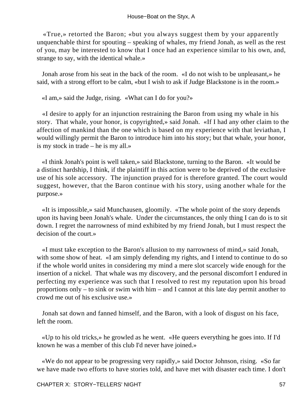«True,» retorted the Baron; «but you always suggest them by your apparently unquenchable thirst for spouting – speaking of whales, my friend Jonah, as well as the rest of you, may be interested to know that I once had an experience similar to his own, and, strange to say, with the identical whale.»

 Jonah arose from his seat in the back of the room. «I do not wish to be unpleasant,» he said, with a strong effort to be calm, «but I wish to ask if Judge Blackstone is in the room.»

«I am,» said the Judge, rising. «What can I do for you?»

 «I desire to apply for an injunction restraining the Baron from using my whale in his story. That whale, your honor, is copyrighted,» said Jonah. «If I had any other claim to the affection of mankind than the one which is based on my experience with that leviathan, I would willingly permit the Baron to introduce him into his story; but that whale, your honor, is my stock in trade – he is my all.»

 «I think Jonah's point is well taken,» said Blackstone, turning to the Baron. «It would be a distinct hardship, I think, if the plaintiff in this action were to be deprived of the exclusive use of his sole accessory. The injunction prayed for is therefore granted. The court would suggest, however, that the Baron continue with his story, using another whale for the purpose.»

 «It is impossible,» said Munchausen, gloomily. «The whole point of the story depends upon its having been Jonah's whale. Under the circumstances, the only thing I can do is to sit down. I regret the narrowness of mind exhibited by my friend Jonah, but I must respect the decision of the court.»

 «I must take exception to the Baron's allusion to my narrowness of mind,» said Jonah, with some show of heat. «I am simply defending my rights, and I intend to continue to do so if the whole world unites in considering my mind a mere slot scarcely wide enough for the insertion of a nickel. That whale was my discovery, and the personal discomfort I endured in perfecting my experience was such that I resolved to rest my reputation upon his broad proportions only – to sink or swim with him – and I cannot at this late day permit another to crowd me out of his exclusive use.»

 Jonah sat down and fanned himself, and the Baron, with a look of disgust on his face, left the room.

 «Up to his old tricks,» he growled as he went. «He queers everything he goes into. If I'd known he was a member of this club I'd never have joined.»

 «We do not appear to be progressing very rapidly,» said Doctor Johnson, rising. «So far we have made two efforts to have stories told, and have met with disaster each time. I don't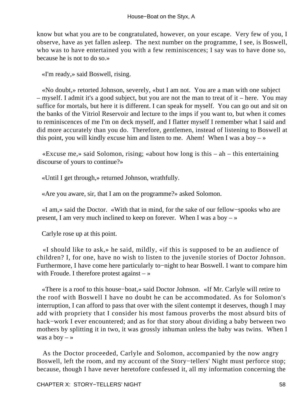know but what you are to be congratulated, however, on your escape. Very few of you, I observe, have as yet fallen asleep. The next number on the programme, I see, is Boswell, who was to have entertained you with a few reminiscences; I say was to have done so, because he is not to do so.»

«I'm ready,» said Boswell, rising.

 «No doubt,» retorted Johnson, severely, «but I am not. You are a man with one subject – myself. I admit it's a good subject, but you are not the man to treat of it – here. You may suffice for mortals, but here it is different. I can speak for myself. You can go out and sit on the banks of the Vitriol Reservoir and lecture to the imps if you want to, but when it comes to reminiscences of me I'm on deck myself, and I flatter myself I remember what I said and did more accurately than you do. Therefore, gentlemen, instead of listening to Boswell at this point, you will kindly excuse him and listen to me. Ahem! When I was a boy  $-\infty$ 

 «Excuse me,» said Solomon, rising; «about how long is this – ah – this entertaining discourse of yours to continue?»

«Until I get through,» returned Johnson, wrathfully.

«Are you aware, sir, that I am on the programme?» asked Solomon.

 «I am,» said the Doctor. «With that in mind, for the sake of our fellow−spooks who are present, I am very much inclined to keep on forever. When I was a boy  $-\infty$ 

Carlyle rose up at this point.

 «I should like to ask,» he said, mildly, «if this is supposed to be an audience of children? I, for one, have no wish to listen to the juvenile stories of Doctor Johnson. Furthermore, I have come here particularly to−night to hear Boswell. I want to compare him with Froude. I therefore protest against  $-\infty$ 

 «There is a roof to this house−boat,» said Doctor Johnson. «If Mr. Carlyle will retire to the roof with Boswell I have no doubt he can be accommodated. As for Solomon's interruption, I can afford to pass that over with the silent contempt it deserves, though I may add with propriety that I consider his most famous proverbs the most absurd bits of hack−work I ever encountered; and as for that story about dividing a baby between two mothers by splitting it in two, it was grossly inhuman unless the baby was twins. When I was a boy  $-$  »

 As the Doctor proceeded, Carlyle and Solomon, accompanied by the now angry Boswell, left the room, and my account of the Story−tellers' Night must perforce stop; because, though I have never heretofore confessed it, all my information concerning the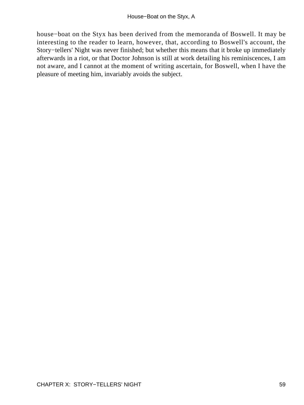house−boat on the Styx has been derived from the memoranda of Boswell. It may be interesting to the reader to learn, however, that, according to Boswell's account, the Story−tellers' Night was never finished; but whether this means that it broke up immediately afterwards in a riot, or that Doctor Johnson is still at work detailing his reminiscences, I am not aware, and I cannot at the moment of writing ascertain, for Boswell, when I have the pleasure of meeting him, invariably avoids the subject.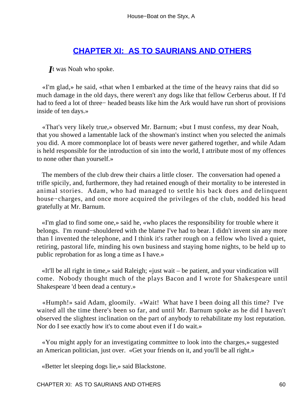#### **[CHAPTER XI: AS TO SAURIANS AND OTHERS](#page-72-0)**

*I*t was Noah who spoke.

 «I'm glad,» he said, «that when I embarked at the time of the heavy rains that did so much damage in the old days, there weren't any dogs like that fellow Cerberus about. If I'd had to feed a lot of three− headed beasts like him the Ark would have run short of provisions inside of ten days.»

 «That's very likely true,» observed Mr. Barnum; «but I must confess, my dear Noah, that you showed a lamentable lack of the showman's instinct when you selected the animals you did. A more commonplace lot of beasts were never gathered together, and while Adam is held responsible for the introduction of sin into the world, I attribute most of my offences to none other than yourself.»

 The members of the club drew their chairs a little closer. The conversation had opened a trifle spicily, and, furthermore, they had retained enough of their mortality to be interested in animal stories. Adam, who had managed to settle his back dues and delinquent house−charges, and once more acquired the privileges of the club, nodded his head gratefully at Mr. Barnum.

 «I'm glad to find some one,» said he, «who places the responsibility for trouble where it belongs. I'm round−shouldered with the blame I've had to bear. I didn't invent sin any more than I invented the telephone, and I think it's rather rough on a fellow who lived a quiet, retiring, pastoral life, minding his own business and staying home nights, to be held up to public reprobation for as long a time as I have.»

 «It'll be all right in time,» said Raleigh; «just wait – be patient, and your vindication will come. Nobody thought much of the plays Bacon and I wrote for Shakespeare until Shakespeare 'd been dead a century.»

 «Humph!» said Adam, gloomily. «Wait! What have I been doing all this time? I've waited all the time there's been so far, and until Mr. Barnum spoke as he did I haven't observed the slightest inclination on the part of anybody to rehabilitate my lost reputation. Nor do I see exactly how it's to come about even if I do wait.»

 «You might apply for an investigating committee to look into the charges,» suggested an American politician, just over. «Get your friends on it, and you'll be all right.»

«Better let sleeping dogs lie,» said Blackstone.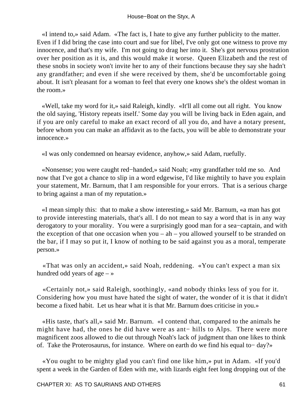«I intend to,» said Adam. «The fact is, I hate to give any further publicity to the matter. Even if I did bring the case into court and sue for libel, I've only got one witness to prove my innocence, and that's my wife. I'm not going to drag her into it. She's got nervous prostration over her position as it is, and this would make it worse. Queen Elizabeth and the rest of these snobs in society won't invite her to any of their functions because they say she hadn't any grandfather; and even if she were received by them, she'd be uncomfortable going about. It isn't pleasant for a woman to feel that every one knows she's the oldest woman in the room.»

 «Well, take my word for it,» said Raleigh, kindly. «It'll all come out all right. You know the old saying, 'History repeats itself.' Some day you will be living back in Eden again, and if you are only careful to make an exact record of all you do, and have a notary present, before whom you can make an affidavit as to the facts, you will be able to demonstrate your innocence.»

«I was only condemned on hearsay evidence, anyhow,» said Adam, ruefully.

 «Nonsense; you were caught red−handed,» said Noah; «my grandfather told me so. And now that I've got a chance to slip in a word edgewise, I'd like mightily to have you explain your statement, Mr. Barnum, that I am responsible for your errors. That is a serious charge to bring against a man of my reputation.»

 «I mean simply this: that to make a show interesting,» said Mr. Barnum, «a man has got to provide interesting materials, that's all. I do not mean to say a word that is in any way derogatory to your morality. You were a surprisingly good man for a sea−captain, and with the exception of that one occasion when you –  $ah$  – you allowed yourself to be stranded on the bar, if I may so put it, I know of nothing to be said against you as a moral, temperate person.»

 «That was only an accident,» said Noah, reddening. «You can't expect a man six hundred odd years of age  $-$  »

 «Certainly not,» said Raleigh, soothingly, «and nobody thinks less of you for it. Considering how you must have hated the sight of water, the wonder of it is that it didn't become a fixed habit. Let us hear what it is that Mr. Barnum does criticise in you.»

 «His taste, that's all,» said Mr. Barnum. «I contend that, compared to the animals he might have had, the ones he did have were as ant− hills to Alps. There were more magnificent zoos allowed to die out through Noah's lack of judgment than one likes to think of. Take the Proterosaurus, for instance. Where on earth do we find his equal to− day?»

 «You ought to be mighty glad you can't find one like him,» put in Adam. «If you'd spent a week in the Garden of Eden with me, with lizards eight feet long dropping out of the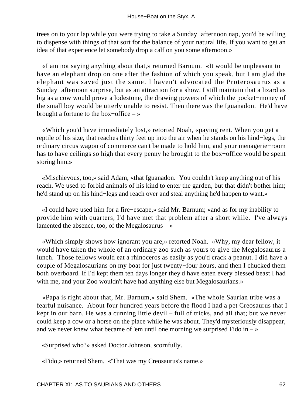trees on to your lap while you were trying to take a Sunday−afternoon nap, you'd be willing to dispense with things of that sort for the balance of your natural life. If you want to get an idea of that experience let somebody drop a calf on you some afternoon.»

 «I am not saying anything about that,» returned Barnum. «It would be unpleasant to have an elephant drop on one after the fashion of which you speak, but I am glad the elephant was saved just the same. I haven't advocated the Proterosaurus as a Sunday−afternoon surprise, but as an attraction for a show. I still maintain that a lizard as big as a cow would prove a lodestone, the drawing powers of which the pocket−money of the small boy would be utterly unable to resist. Then there was the Iguanadon. He'd have brought a fortune to the box−office – »

 «Which you'd have immediately lost,» retorted Noah, «paying rent. When you get a reptile of his size, that reaches thirty feet up into the air when he stands on his hind−legs, the ordinary circus wagon of commerce can't be made to hold him, and your menagerie−room has to have ceilings so high that every penny he brought to the box−office would be spent storing him.»

 «Mischievous, too,» said Adam, «that Iguanadon. You couldn't keep anything out of his reach. We used to forbid animals of his kind to enter the garden, but that didn't bother him; he'd stand up on his hind−legs and reach over and steal anything he'd happen to want.»

 «I could have used him for a fire−escape,» said Mr. Barnum; «and as for my inability to provide him with quarters, I'd have met that problem after a short while. I've always lamented the absence, too, of the Megalosaurus  $-\infty$ 

 «Which simply shows how ignorant you are,» retorted Noah. «Why, my dear fellow, it would have taken the whole of an ordinary zoo such as yours to give the Megalosaurus a lunch. Those fellows would eat a rhinoceros as easily as you'd crack a peanut. I did have a couple of Megalosaurians on my boat for just twenty−four hours, and then I chucked them both overboard. If I'd kept them ten days longer they'd have eaten every blessed beast I had with me, and your Zoo wouldn't have had anything else but Megalosaurians.»

 «Papa is right about that, Mr. Barnum,» said Shem. «The whole Saurian tribe was a fearful nuisance. About four hundred years before the flood I had a pet Creosaurus that I kept in our barn. He was a cunning little devil – full of tricks, and all that; but we never could keep a cow or a horse on the place while he was about. They'd mysteriously disappear, and we never knew what became of 'em until one morning we surprised Fido in  $-\infty$ 

«Surprised who?» asked Doctor Johnson, scornfully.

«Fido,» returned Shem. «'That was my Creosaurus's name.»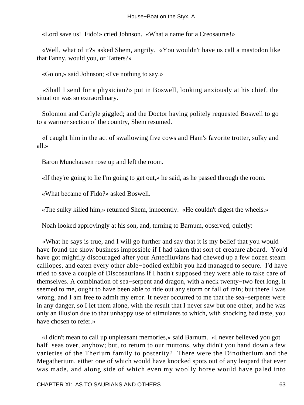«Lord save us! Fido!» cried Johnson. «What a name for a Creosaurus!»

 «Well, what of it?» asked Shem, angrily. «You wouldn't have us call a mastodon like that Fanny, would you, or Tatters?»

«Go on,» said Johnson; «I've nothing to say.»

 «Shall I send for a physician?» put in Boswell, looking anxiously at his chief, the situation was so extraordinary.

 Solomon and Carlyle giggled; and the Doctor having politely requested Boswell to go to a warmer section of the country, Shem resumed.

 «I caught him in the act of swallowing five cows and Ham's favorite trotter, sulky and all.»

Baron Munchausen rose up and left the room.

«If they're going to lie I'm going to get out,» he said, as he passed through the room.

«What became of Fido?» asked Boswell.

«The sulky killed him,» returned Shem, innocently. «He couldn't digest the wheels.»

Noah looked approvingly at his son, and, turning to Barnum, observed, quietly:

 «What he says is true, and I will go further and say that it is my belief that you would have found the show business impossible if I had taken that sort of creature aboard. You'd have got mightily discouraged after your Antediluvians had chewed up a few dozen steam calliopes, and eaten every other able−bodied exhibit you had managed to secure. I'd have tried to save a couple of Discosaurians if I hadn't supposed they were able to take care of themselves. A combination of sea−serpent and dragon, with a neck twenty−two feet long, it seemed to me, ought to have been able to ride out any storm or fall of rain; but there I was wrong, and I am free to admit my error. It never occurred to me that the sea−serpents were in any danger, so I let them alone, with the result that I never saw but one other, and he was only an illusion due to that unhappy use of stimulants to which, with shocking bad taste, you have chosen to refer.»

 «I didn't mean to call up unpleasant memories,» said Barnum. «I never believed you got half−seas over, anyhow; but, to return to our muttons, why didn't you hand down a few varieties of the Therium family to posterity? There were the Dinotherium and the Megatherium, either one of which would have knocked spots out of any leopard that ever was made, and along side of which even my woolly horse would have paled into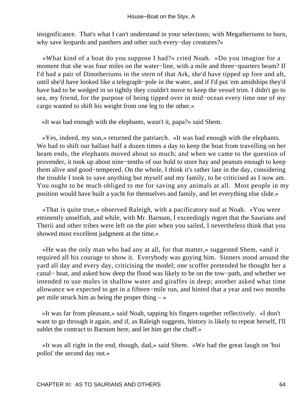insignificance. That's what I can't understand in your selections; with Megatheriums to burn, why save leopards and panthers and other such every−day creatures?»

 «What kind of a boat do you suppose I had?» cried Noah. «Do you imagine for a moment that she was four miles on the water−line, with a mile and three−quarters beam? If I'd had a pair of Dinotheriums in the stern of that Ark, she'd have tipped up fore and aft, until she'd have looked like a telegraph−pole in the water, and if I'd put 'em amidships they'd have had to be wedged in so tightly they couldn't move to keep the vessel trim. I didn't go to sea, my friend, for the purpose of being tipped over in mid−ocean every time one of my cargo wanted to shift his weight from one leg to the other.»

«It was bad enough with the elephants, wasn't it, papa?» said Shem.

 «Yes, indeed, my son,» returned the patriarch. «It was bad enough with the elephants. We had to shift our ballast half a dozen times a day to keep the boat from travelling on her beam ends, the elephants moved about so much; and when we came to the question of provender, it took up about nine−tenths of our hold to store hay and peanuts enough to keep them alive and good−tempered. On the whole, I think it's rather late in the day, considering the trouble I took to save anything but myself and my family, to be criticised as I now am. You ought to be much obliged to me for saving any animals at all. Most people in my position would have built a yacht for themselves and family, and let everything else slide.»

 «That is quite true,» observed Raleigh, with a pacificatory nod at Noah. «You were eminently unselfish, and while, with Mr. Barnum, I exceedingly regret that the Saurians and Therii and other tribes were left on the pier when you sailed, I nevertheless think that you showed most excellent judgment at the time.»

 «He was the only man who had any at all, for that matter,» suggested Shem, «and it required all his courage to show it. Everybody was guying him. Sinners stood around the yard all day and every day, criticising the model; one scoffer pretended he thought her a canal− boat, and asked how deep the flood was likely to be on the tow−path, and whether we intended to use mules in shallow water and giraffes in deep; another asked what time allowance we expected to get in a fifteen−mile run, and hinted that a year and two months per mile struck him as being the proper thing  $-\infty$ 

 «It was far from pleasant,» said Noah, tapping his fingers together reflectively. «I don't want to go through it again, and if, as Raleigh suggests, history is likely to repeat herself, I'll sublet the contract to Barnum here, and let him get the chaff.»

 «It was all right in the end, though, dad,» said Shem. «We had the great laugh on 'hoi polloi' the second day out.»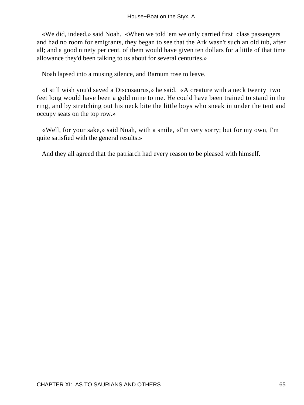«We did, indeed,» said Noah. «When we told 'em we only carried first−class passengers and had no room for emigrants, they began to see that the Ark wasn't such an old tub, after all; and a good ninety per cent. of them would have given ten dollars for a little of that time allowance they'd been talking to us about for several centuries.»

Noah lapsed into a musing silence, and Barnum rose to leave.

 «I still wish you'd saved a Discosaurus,» he said. «A creature with a neck twenty−two feet long would have been a gold mine to me. He could have been trained to stand in the ring, and by stretching out his neck bite the little boys who sneak in under the tent and occupy seats on the top row.»

 «Well, for your sake,» said Noah, with a smile, «I'm very sorry; but for my own, I'm quite satisfied with the general results.»

And they all agreed that the patriarch had every reason to be pleased with himself.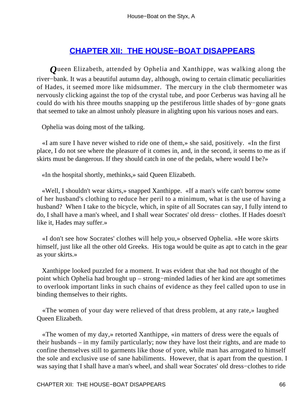### **[CHAPTER XII: THE HOUSE−BOAT DISAPPEARS](#page-72-0)**

*Q*ueen Elizabeth, attended by Ophelia and Xanthippe, was walking along the river−bank. It was a beautiful autumn day, although, owing to certain climatic peculiarities of Hades, it seemed more like midsummer. The mercury in the club thermometer was nervously clicking against the top of the crystal tube, and poor Cerberus was having all he could do with his three mouths snapping up the pestiferous little shades of by−gone gnats that seemed to take an almost unholy pleasure in alighting upon his various noses and ears.

Ophelia was doing most of the talking.

 «I am sure I have never wished to ride one of them,» she said, positively. «In the first place, I do not see where the pleasure of it comes in, and, in the second, it seems to me as if skirts must be dangerous. If they should catch in one of the pedals, where would I be?»

«In the hospital shortly, methinks,» said Queen Elizabeth.

 «Well, I shouldn't wear skirts,» snapped Xanthippe. «If a man's wife can't borrow some of her husband's clothing to reduce her peril to a minimum, what is the use of having a husband? When I take to the bicycle, which, in spite of all Socrates can say, I fully intend to do, I shall have a man's wheel, and I shall wear Socrates' old dress− clothes. If Hades doesn't like it, Hades may suffer.»

 «I don't see how Socrates' clothes will help you,» observed Ophelia. «He wore skirts himself, just like all the other old Greeks. His toga would be quite as apt to catch in the gear as your skirts.»

 Xanthippe looked puzzled for a moment. It was evident that she had not thought of the point which Ophelia had brought up – strong−minded ladies of her kind are apt sometimes to overlook important links in such chains of evidence as they feel called upon to use in binding themselves to their rights.

 «The women of your day were relieved of that dress problem, at any rate,» laughed Queen Elizabeth.

 «The women of my day,» retorted Xanthippe, «in matters of dress were the equals of their husbands – in my family particularly; now they have lost their rights, and are made to confine themselves still to garments like those of yore, while man has arrogated to himself the sole and exclusive use of sane habiliments. However, that is apart from the question. I was saying that I shall have a man's wheel, and shall wear Socrates' old dress−clothes to ride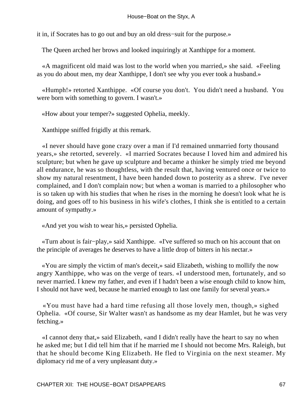it in, if Socrates has to go out and buy an old dress−suit for the purpose.»

The Queen arched her brows and looked inquiringly at Xanthippe for a moment.

 «A magnificent old maid was lost to the world when you married,» she said. «Feeling as you do about men, my dear Xanthippe, I don't see why you ever took a husband.»

 «Humph!» retorted Xanthippe. «Of course you don't. You didn't need a husband. You were born with something to govern. I wasn't.»

«How about your temper?» suggested Ophelia, meekly.

Xanthippe sniffed frigidly at this remark.

 «I never should have gone crazy over a man if I'd remained unmarried forty thousand years,» she retorted, severely. «I married Socrates because I loved him and admired his sculpture; but when he gave up sculpture and became a thinker he simply tried me beyond all endurance, he was so thoughtless, with the result that, having ventured once or twice to show my natural resentment, I have been handed down to posterity as a shrew. I've never complained, and I don't complain now; but when a woman is married to a philosopher who is so taken up with his studies that when he rises in the morning he doesn't look what he is doing, and goes off to his business in his wife's clothes, I think she is entitled to a certain amount of sympathy.»

«And yet you wish to wear his,» persisted Ophelia.

 «Turn about is fair−play,» said Xanthippe. «I've suffered so much on his account that on the principle of averages he deserves to have a little drop of bitters in his nectar.»

 «You are simply the victim of man's deceit,» said Elizabeth, wishing to mollify the now angry Xanthippe, who was on the verge of tears. «I understood men, fortunately, and so never married. I knew my father, and even if I hadn't been a wise enough child to know him, I should not have wed, because he married enough to last one family for several years.»

 «You must have had a hard time refusing all those lovely men, though,» sighed Ophelia. «Of course, Sir Walter wasn't as handsome as my dear Hamlet, but he was very fetching.»

 «I cannot deny that,» said Elizabeth, «and I didn't really have the heart to say no when he asked me; but I did tell him that if he married me I should not become Mrs. Raleigh, but that he should become King Elizabeth. He fled to Virginia on the next steamer. My diplomacy rid me of a very unpleasant duty.»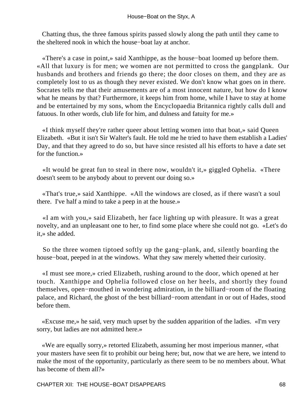Chatting thus, the three famous spirits passed slowly along the path until they came to the sheltered nook in which the house−boat lay at anchor.

 «There's a case in point,» said Xanthippe, as the house−boat loomed up before them. «All that luxury is for men; we women are not permitted to cross the gangplank. Our husbands and brothers and friends go there; the door closes on them, and they are as completely lost to us as though they never existed. We don't know what goes on in there. Socrates tells me that their amusements are of a most innocent nature, but how do I know what he means by that? Furthermore, it keeps him from home, while I have to stay at home and be entertained by my sons, whom the Encyclopaedia Britannica rightly calls dull and fatuous. In other words, club life for him, and dulness and fatuity for me.»

 «I think myself they're rather queer about letting women into that boat,» said Queen Elizabeth. «But it isn't Sir Walter's fault. He told me he tried to have them establish a Ladies' Day, and that they agreed to do so, but have since resisted all his efforts to have a date set for the function.»

 «It would be great fun to steal in there now, wouldn't it,» giggled Ophelia. «There doesn't seem to be anybody about to prevent our doing so.»

 «That's true,» said Xanthippe. «All the windows are closed, as if there wasn't a soul there. I've half a mind to take a peep in at the house.»

 «I am with you,» said Elizabeth, her face lighting up with pleasure. It was a great novelty, and an unpleasant one to her, to find some place where she could not go. «Let's do it,» she added.

 So the three women tiptoed softly up the gang−plank, and, silently boarding the house−boat, peeped in at the windows. What they saw merely whetted their curiosity.

 «I must see more,» cried Elizabeth, rushing around to the door, which opened at her touch. Xanthippe and Ophelia followed close on her heels, and shortly they found themselves, open−mouthed in wondering admiration, in the billiard−room of the floating palace, and Richard, the ghost of the best billiard−room attendant in or out of Hades, stood before them.

 «Excuse me,» he said, very much upset by the sudden apparition of the ladies. «I'm very sorry, but ladies are not admitted here.»

 «We are equally sorry,» retorted Elizabeth, assuming her most imperious manner, «that your masters have seen fit to prohibit our being here; but, now that we are here, we intend to make the most of the opportunity, particularly as there seem to be no members about. What has become of them all?»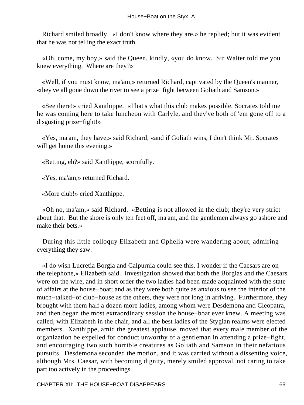Richard smiled broadly. «I don't know where they are,» he replied; but it was evident that he was not telling the exact truth.

 «Oh, come, my boy,» said the Queen, kindly, «you do know. Sir Walter told me you knew everything. Where are they?»

 «Well, if you must know, ma'am,» returned Richard, captivated by the Queen's manner, «they've all gone down the river to see a prize−fight between Goliath and Samson.»

 «See there!» cried Xanthippe. «That's what this club makes possible. Socrates told me he was coming here to take luncheon with Carlyle, and they've both of 'em gone off to a disgusting prize−fight!»

 «Yes, ma'am, they have,» said Richard; «and if Goliath wins, I don't think Mr. Socrates will get home this evening.»

«Betting, eh?» said Xanthippe, scornfully.

«Yes, ma'am,» returned Richard.

«More club!» cried Xanthippe.

 «Oh no, ma'am,» said Richard. «Betting is not allowed in the club; they're very strict about that. But the shore is only ten feet off, ma'am, and the gentlemen always go ashore and make their bets.»

 During this little colloquy Elizabeth and Ophelia were wandering about, admiring everything they saw.

 «I do wish Lucretia Borgia and Calpurnia could see this. I wonder if the Caesars are on the telephone,» Elizabeth said. Investigation showed that both the Borgias and the Caesars were on the wire, and in short order the two ladies had been made acquainted with the state of affairs at the house−boat; and as they were both quite as anxious to see the interior of the much−talked−of club−house as the others, they were not long in arriving. Furthermore, they brought with them half a dozen more ladies, among whom were Desdemona and Cleopatra, and then began the most extraordinary session the house−boat ever knew. A meeting was called, with Elizabeth in the chair, and all the best ladies of the Stygian realms were elected members. Xanthippe, amid the greatest applause, moved that every male member of the organization be expelled for conduct unworthy of a gentleman in attending a prize−fight, and encouraging two such horrible creatures as Goliath and Samson in their nefarious pursuits. Desdemona seconded the motion, and it was carried without a dissenting voice, although Mrs. Caesar, with becoming dignity, merely smiled approval, not caring to take part too actively in the proceedings.

CHAPTER XII: THE HOUSE−BOAT DISAPPEARS 69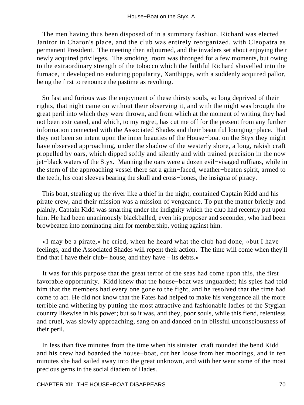The men having thus been disposed of in a summary fashion, Richard was elected Janitor in Charon's place, and the club was entirely reorganized, with Cleopatra as permanent President. The meeting then adjourned, and the invaders set about enjoying their newly acquired privileges. The smoking−room was thronged for a few moments, but owing to the extraordinary strength of the tobacco which the faithful Richard shovelled into the furnace, it developed no enduring popularity, Xanthippe, with a suddenly acquired pallor, being the first to renounce the pastime as revolting.

 So fast and furious was the enjoyment of these thirsty souls, so long deprived of their rights, that night came on without their observing it, and with the night was brought the great peril into which they were thrown, and from which at the moment of writing they had not been extricated, and which, to my regret, has cut me off for the present from any further information connected with the Associated Shades and their beautiful lounging−place. Had they not been so intent upon the inner beauties of the House−boat on the Styx they might have observed approaching, under the shadow of the westerly shore, a long, rakish craft propelled by oars, which dipped softly and silently and with trained precision in the now jet−black waters of the Styx. Manning the oars were a dozen evil−visaged ruffians, while in the stern of the approaching vessel there sat a grim−faced, weather−beaten spirit, armed to the teeth, his coat sleeves bearing the skull and cross−bones, the insignia of piracy.

 This boat, stealing up the river like a thief in the night, contained Captain Kidd and his pirate crew, and their mission was a mission of vengeance. To put the matter briefly and plainly, Captain Kidd was smarting under the indignity which the club had recently put upon him. He had been unanimously blackballed, even his proposer and seconder, who had been browbeaten into nominating him for membership, voting against him.

 «I may be a pirate,» he cried, when he heard what the club had done, «but I have feelings, and the Associated Shades will repent their action. The time will come when they'll find that I have their club− house, and they have – its debts.»

 It was for this purpose that the great terror of the seas had come upon this, the first favorable opportunity. Kidd knew that the house−boat was unguarded; his spies had told him that the members had every one gone to the fight, and he resolved that the time had come to act. He did not know that the Fates had helped to make his vengeance all the more terrible and withering by putting the most attractive and fashionable ladies of the Stygian country likewise in his power; but so it was, and they, poor souls, while this fiend, relentless and cruel, was slowly approaching, sang on and danced on in blissful unconsciousness of their peril.

 In less than five minutes from the time when his sinister−craft rounded the bend Kidd and his crew had boarded the house−boat, cut her loose from her moorings, and in ten minutes she had sailed away into the great unknown, and with her went some of the most precious gems in the social diadem of Hades.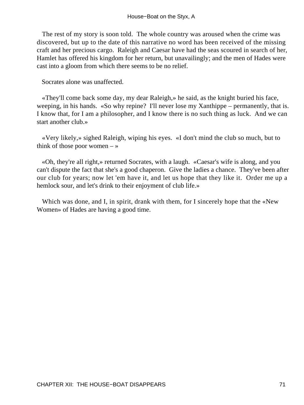The rest of my story is soon told. The whole country was aroused when the crime was discovered, but up to the date of this narrative no word has been received of the missing craft and her precious cargo. Raleigh and Caesar have had the seas scoured in search of her, Hamlet has offered his kingdom for her return, but unavailingly; and the men of Hades were cast into a gloom from which there seems to be no relief.

Socrates alone was unaffected.

 «They'll come back some day, my dear Raleigh,» he said, as the knight buried his face, weeping, in his hands. «So why repine? I'll never lose my Xanthippe – permanently, that is. I know that, for I am a philosopher, and I know there is no such thing as luck. And we can start another club.»

 «Very likely,» sighed Raleigh, wiping his eyes. «I don't mind the club so much, but to think of those poor women  $-\infty$ 

 «Oh, they're all right,» returned Socrates, with a laugh. «Caesar's wife is along, and you can't dispute the fact that she's a good chaperon. Give the ladies a chance. They've been after our club for years; now let 'em have it, and let us hope that they like it. Order me up a hemlock sour, and let's drink to their enjoyment of club life.»

Which was done, and I, in spirit, drank with them, for I sincerely hope that the «New Women» of Hades are having a good time.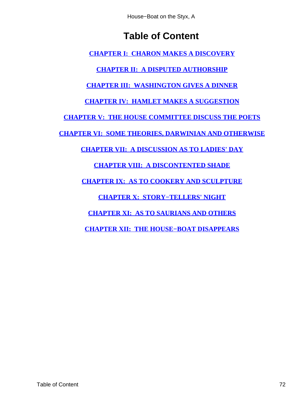House−Boat on the Styx, A

## **Table of Content**

**[CHAPTER I: CHARON MAKES A DISCOVERY](#page-3-0)**

**[CHAPTER II: A DISPUTED AUTHORSHIP](#page-9-0)**

**[CHAPTER III: WASHINGTON GIVES A DINNER](#page-15-0)**

**[CHAPTER IV: HAMLET MAKES A SUGGESTION](#page-21-0)**

**[CHAPTER V: THE HOUSE COMMITTEE DISCUSS THE POETS](#page-27-0)**

**[CHAPTER VI: SOME THEORIES, DARWINIAN AND OTHERWISE](#page-32-0)**

**[CHAPTER VII: A DISCUSSION AS TO LADIES' DAY](#page-38-0)**

**[CHAPTER VIII: A DISCONTENTED SHADE](#page-43-0)**

**[CHAPTER IX: AS TO COOKERY AND SCULPTURE](#page-49-0)**

**[CHAPTER X: STORY−TELLERS' NIGHT](#page-54-0)**

**[CHAPTER XI: AS TO SAURIANS AND OTHERS](#page-60-0)**

**[CHAPTER XII: THE HOUSE−BOAT DISAPPEARS](#page-66-0)**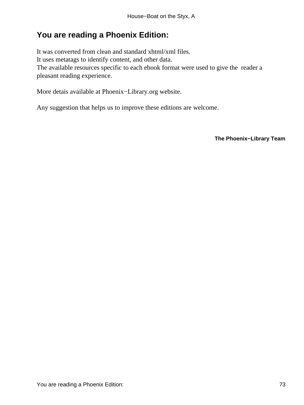## **You are reading a Phoenix Edition:**

It was converted from clean and standard xhtml/xml files. It uses metatags to identify content, and other data. The available resources specific to each ebook format were used to give the reader a pleasant reading experience.

More detais available at Phoenix−Library.org website.

Any suggestion that helps us to improve these editions are welcome.

**The Phoenix−Library Team**